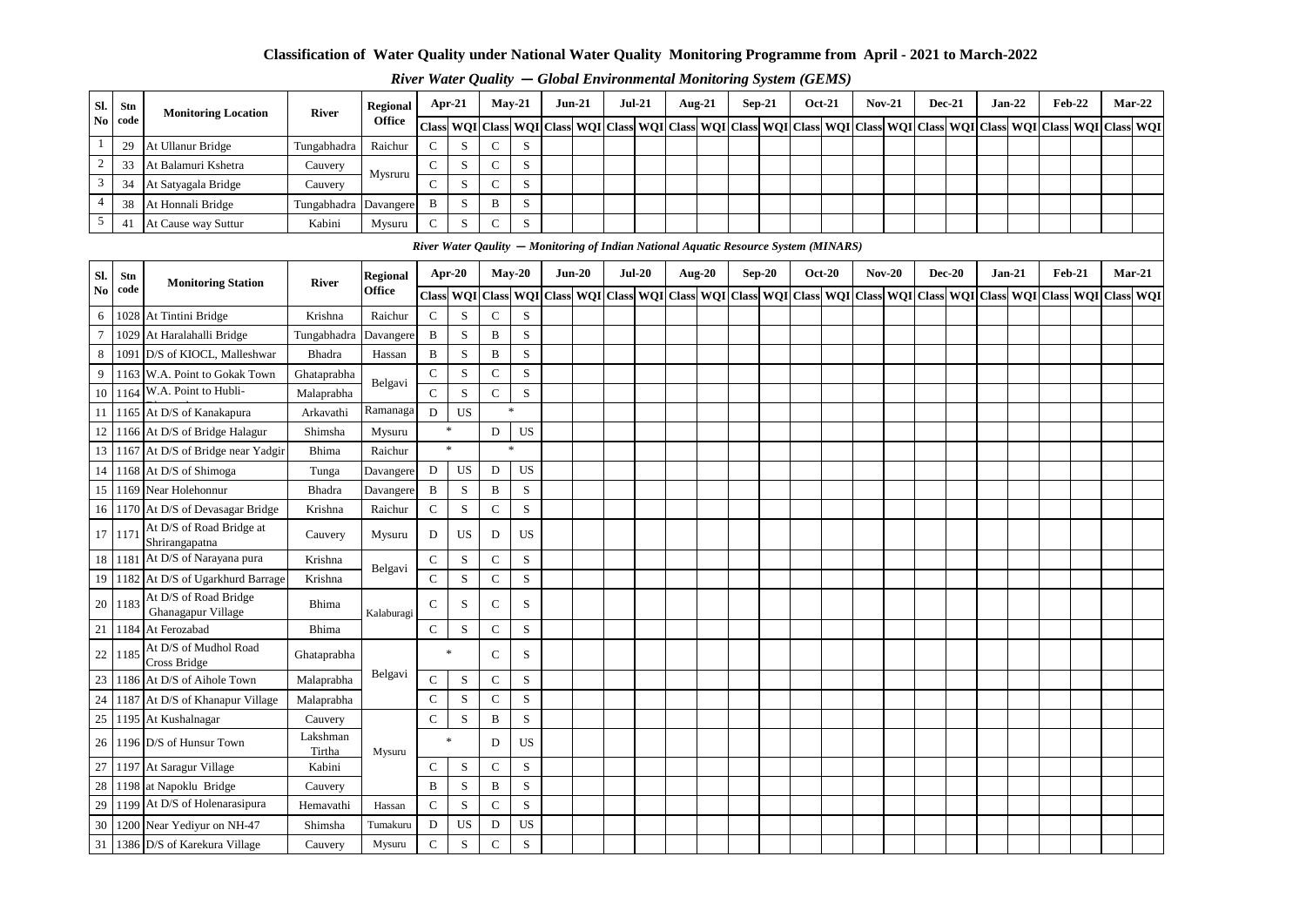#### **Classification of Water Quality under National Water Quality Monitoring Programme from April - 2021 to March-2022**

|        |         |                            |                       |               |   |        |                       |                   |          |  |          |           | . . |                                                                                                                                                                                                                                                                                                                              |               |          |        |          |  |          |                                                                                                                                                                                                                                |
|--------|---------|----------------------------|-----------------------|---------------|---|--------|-----------------------|-------------------|----------|--|----------|-----------|-----|------------------------------------------------------------------------------------------------------------------------------------------------------------------------------------------------------------------------------------------------------------------------------------------------------------------------------|---------------|----------|--------|----------|--|----------|--------------------------------------------------------------------------------------------------------------------------------------------------------------------------------------------------------------------------------|
| Sl.    | Stn     | <b>Monitoring Location</b> | River                 | Regional      |   | Apr-21 |                       | $Mav-21$          | $Jun-21$ |  | $Jul-21$ | Aug- $21$ |     | $Sep-21$                                                                                                                                                                                                                                                                                                                     | <b>Oct-21</b> | $Nov-21$ | Dec-21 | $Jan-22$ |  | $Feb-22$ | $Mar-22$                                                                                                                                                                                                                       |
|        | No code |                            |                       | <b>Office</b> |   |        |                       |                   |          |  |          |           |     |                                                                                                                                                                                                                                                                                                                              |               |          |        |          |  |          | Class WQI Class WQI Class WQI Class WQI Class WQI Class WQI Class WQI Class WQI Class WQI Class WQI Class WQI Class WQI Class WQI Class WQI Class WQI Class WQI Class WQI Class WQI Class WQI Class WQI Class WQI Class WQI Cl |
|        | 29      | At Ullanur Bridge          | Tungabhadra           | Raichur       |   |        |                       | د                 |          |  |          |           |     |                                                                                                                                                                                                                                                                                                                              |               |          |        |          |  |          |                                                                                                                                                                                                                                |
| $\sim$ | 33      | At Balamuri Kshetra        | Cauvery               | Mysruru       |   |        |                       | ъĐ                |          |  |          |           |     |                                                                                                                                                                                                                                                                                                                              |               |          |        |          |  |          |                                                                                                                                                                                                                                |
| 3      | 34      | At Satyagala Bridge        | Cauvery               |               | ∼ |        |                       | ъĐ                |          |  |          |           |     |                                                                                                                                                                                                                                                                                                                              |               |          |        |          |  |          |                                                                                                                                                                                                                                |
|        | 38      | At Honnali Bridge          | Tungabhadra Davangere |               | B | ъ.     | B                     | $\sim$<br>$\cdot$ |          |  |          |           |     |                                                                                                                                                                                                                                                                                                                              |               |          |        |          |  |          |                                                                                                                                                                                                                                |
| $\leq$ | 4.      | At Cause way Suttur        | Kabini                | Mysuru        |   |        | $\tilde{\phantom{a}}$ | $\sim$            |          |  |          |           |     |                                                                                                                                                                                                                                                                                                                              |               |          |        |          |  |          |                                                                                                                                                                                                                                |
|        |         |                            |                       |               |   |        |                       |                   |          |  |          |           |     | $\mathbf{D}^1$ . $\mathbf{H}^2$ , $\mathbf{A}$ , $\mathbf{D}$ , $\mathbf{H}$ , $\mathbf{H}$ , $\mathbf{H}$ , $\mathbf{H}$ , $\mathbf{H}$ , $\mathbf{H}$ , $\mathbf{H}$ , $\mathbf{H}$ , $\mathbf{H}$ , $\mathbf{H}$ , $\mathbf{H}$ , $\mathbf{H}$ , $\mathbf{H}$ , $\mathbf{H}$ , $\mathbf{H}$ , $\mathbf{H}$ , $\mathbf{H}$ |               |          |        |          |  |          |                                                                                                                                                                                                                                |

#### *River Water Quality* **—** *Global Environmental Monitoring System (GEMS)*

|                 |         |                                             |                    |                 |               |             | River Water Qaulity – Monitoring of Indian National Aquatic Resource System (MINARS) |             |          |  |          |        |          |               |  |          |          |                                                                                                                                                 |          |          |  |
|-----------------|---------|---------------------------------------------|--------------------|-----------------|---------------|-------------|--------------------------------------------------------------------------------------|-------------|----------|--|----------|--------|----------|---------------|--|----------|----------|-------------------------------------------------------------------------------------------------------------------------------------------------|----------|----------|--|
| Sl.             | Stn     | <b>Monitoring Station</b>                   | <b>River</b>       | <b>Regional</b> |               | Apr-20      | $May-20$                                                                             |             | $Jun-20$ |  | $Jul-20$ | Aug-20 | $Sep-20$ | <b>Oct-20</b> |  | $Nov-20$ | $Dec-20$ | $Jan-21$                                                                                                                                        | $Feb-21$ | $Mar-21$ |  |
| $\mathbf{No}$   | code    |                                             |                    | <b>Office</b>   |               |             | Class WQI Class                                                                      |             |          |  |          |        |          |               |  |          |          | WQI   Class   WQI   Class   WQI   Class   WQI   Class   WQI   Class   WQI   Class   WQI   Class   WQI   Class   WQI   Class   WQI   Class   WQI |          |          |  |
| 6               |         | 1028 At Tintini Bridge                      | Krishna            | Raichur         | $\mathsf{C}$  | S           | $\mathbf C$                                                                          | S           |          |  |          |        |          |               |  |          |          |                                                                                                                                                 |          |          |  |
| $\overline{7}$  |         | 1029 At Haralahalli Bridge                  | Tungabhadra        | Davangere       | B             | S           | B                                                                                    | S           |          |  |          |        |          |               |  |          |          |                                                                                                                                                 |          |          |  |
| 8               |         | 1091 D/S of KIOCL, Malleshwar               | Bhadra             | Hassan          | B             | S           | B                                                                                    | $\mathbf S$ |          |  |          |        |          |               |  |          |          |                                                                                                                                                 |          |          |  |
| 9               |         | 1163 W.A. Point to Gokak Town               | Ghataprabha        | Belgavi         | $\mathbf C$   | $\,$ S      | $\mathbf C$                                                                          | $\mathbf S$ |          |  |          |        |          |               |  |          |          |                                                                                                                                                 |          |          |  |
| 10              |         | 1164 W.A. Point to Hubli-                   | Malaprabha         |                 | $\mathbf{C}$  | S           | $\mathbf C$                                                                          | $\,$ S      |          |  |          |        |          |               |  |          |          |                                                                                                                                                 |          |          |  |
| 11 <sup>1</sup> |         | 1165 At D/S of Kanakapura                   | Arkavathi          | Ramanaga        | D             | <b>US</b>   |                                                                                      | $\ast$      |          |  |          |        |          |               |  |          |          |                                                                                                                                                 |          |          |  |
| 12              |         | 1166 At D/S of Bridge Halagur               | Shimsha            | Mysuru          |               | *           | D                                                                                    | <b>US</b>   |          |  |          |        |          |               |  |          |          |                                                                                                                                                 |          |          |  |
|                 |         | 13 1167 At D/S of Bridge near Yadgir        | Bhima              | Raichur         |               | $\ast$      | $\ast$                                                                               |             |          |  |          |        |          |               |  |          |          |                                                                                                                                                 |          |          |  |
|                 |         | 14 1168 At D/S of Shimoga                   | Tunga              | Davangere       | D             | <b>US</b>   | D                                                                                    | <b>US</b>   |          |  |          |        |          |               |  |          |          |                                                                                                                                                 |          |          |  |
|                 |         | 15 1169 Near Holehonnur                     | Bhadra             | Davangere       | B             | S           | B                                                                                    | S           |          |  |          |        |          |               |  |          |          |                                                                                                                                                 |          |          |  |
|                 |         | 16 1170 At D/S of Devasagar Bridge          | Krishna            | Raichur         | $\mathbf C$   | S           | $\mathbf C$                                                                          | $\mathbf S$ |          |  |          |        |          |               |  |          |          |                                                                                                                                                 |          |          |  |
|                 | 17 1171 | At D/S of Road Bridge at<br>Shrirangapatna  | Cauvery            | Mysuru          | D             | <b>US</b>   | D                                                                                    | <b>US</b>   |          |  |          |        |          |               |  |          |          |                                                                                                                                                 |          |          |  |
|                 | 18 1181 | At D/S of Narayana pura                     | Krishna            | Belgavi         | $\mathbf C$   | S           | $\mathbf C$                                                                          | S           |          |  |          |        |          |               |  |          |          |                                                                                                                                                 |          |          |  |
|                 |         | 19 1182 At D/S of Ugarkhurd Barrage         | Krishna            |                 | $\mathbf C$   | S           | $\mathbf C$                                                                          | $\mathbf S$ |          |  |          |        |          |               |  |          |          |                                                                                                                                                 |          |          |  |
| 20              | 1183    | At D/S of Road Bridge<br>Ghanagapur Village | Bhima              | Kalaburagi      | $\mathcal{C}$ | S           | $\mathbf C$                                                                          | S           |          |  |          |        |          |               |  |          |          |                                                                                                                                                 |          |          |  |
| 21              |         | 1184 At Ferozabad                           | Bhima              |                 | $\mathbf C$   | S           | $\mathbf C$                                                                          | S           |          |  |          |        |          |               |  |          |          |                                                                                                                                                 |          |          |  |
| 22              | 1185    | At D/S of Mudhol Road<br>Cross Bridge       | Ghataprabha        |                 |               | $\ast$      | $\mathbf C$                                                                          | S           |          |  |          |        |          |               |  |          |          |                                                                                                                                                 |          |          |  |
|                 |         | 23 1186 At D/S of Aihole Town               | Malaprabha         | Belgavi         | $\mathbf C$   | S           | $\mathbf C$                                                                          | S           |          |  |          |        |          |               |  |          |          |                                                                                                                                                 |          |          |  |
| 24              |         | 1187 At D/S of Khanapur Village             | Malaprabha         |                 | $\mathcal{C}$ | S           | $\mathbf C$                                                                          | S           |          |  |          |        |          |               |  |          |          |                                                                                                                                                 |          |          |  |
| 25              |         | 1195 At Kushalnagar                         | Cauvery            |                 | $\mathbf C$   | $\mathbf S$ | $\, {\bf B}$                                                                         | $\mathbf S$ |          |  |          |        |          |               |  |          |          |                                                                                                                                                 |          |          |  |
| 26              |         | 1196 D/S of Hunsur Town                     | Lakshman<br>Tirtha | Mysuru          |               | $\ast$      | D                                                                                    | <b>US</b>   |          |  |          |        |          |               |  |          |          |                                                                                                                                                 |          |          |  |
|                 |         | 27 1197 At Saragur Village                  | Kabini             |                 | C             | S           | $\mathbf C$                                                                          | $\,$ S      |          |  |          |        |          |               |  |          |          |                                                                                                                                                 |          |          |  |
| 28              |         | 1198 at Napoklu Bridge                      | Cauvery            |                 | $\, {\bf B}$  | S           | B                                                                                    | $\mathbf S$ |          |  |          |        |          |               |  |          |          |                                                                                                                                                 |          |          |  |
| 29              |         | 1199 At D/S of Holenarasipura               | Hemavathi          | Hassan          | $\mathbf C$   | S           | $\mathbf C$                                                                          | $\mathbf S$ |          |  |          |        |          |               |  |          |          |                                                                                                                                                 |          |          |  |
| 30              |         | 1200 Near Yediyur on NH-47                  | Shimsha            | Tumakuru        | D             | <b>US</b>   | D                                                                                    | <b>US</b>   |          |  |          |        |          |               |  |          |          |                                                                                                                                                 |          |          |  |
|                 |         | 31 1386 D/S of Karekura Village             | Cauvery            | Mysuru          | $\mathsf{C}$  | S           | $\mathbf C$                                                                          | S           |          |  |          |        |          |               |  |          |          |                                                                                                                                                 |          |          |  |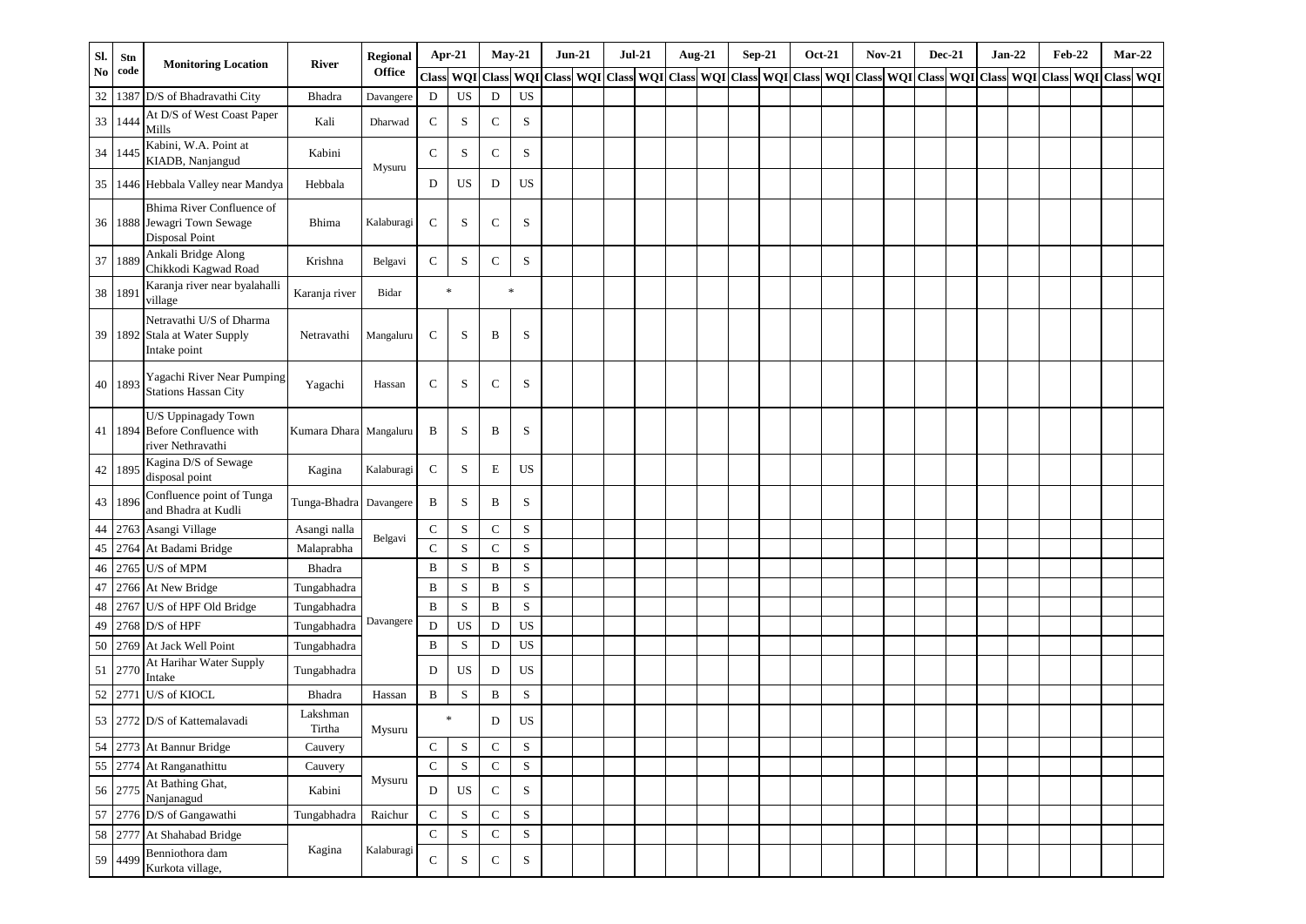| Sl. | Stn       | <b>Monitoring Location</b>                                                 | <b>River</b>           | <b>Regional</b> |              | Apr-21      |             | $May-21$    | $Jun-21$                  | $Jul-21$ | Aug-21                                            | $Sep-21$ | <b>Oct-21</b> | <b>Nov-21</b> |  | $Dec-21$ | $Jan-22$                          | <b>Feb-22</b> |            | $Mar-22$  |
|-----|-----------|----------------------------------------------------------------------------|------------------------|-----------------|--------------|-------------|-------------|-------------|---------------------------|----------|---------------------------------------------------|----------|---------------|---------------|--|----------|-----------------------------------|---------------|------------|-----------|
| No  | code      |                                                                            |                        | <b>Office</b>   | Class        | <b>WQI</b>  |             |             | Class WQI Class WQI Class |          | WQI Class WQI Class WQI Class WQI Class WQI Class |          |               |               |  |          | <b>WQI</b> Class <b>WQI</b> Class |               | <b>WQI</b> | Class WQI |
| 32  |           | 1387 D/S of Bhadravathi City                                               | Bhadra                 | Davangere       | D            | <b>US</b>   | $\mathbf D$ | <b>US</b>   |                           |          |                                                   |          |               |               |  |          |                                   |               |            |           |
| 33  | 1444      | At D/S of West Coast Paper<br>Mills                                        | Kali                   | Dharwad         | $\mathbf C$  | S           | $\mathbf C$ | $\mathbf S$ |                           |          |                                                   |          |               |               |  |          |                                   |               |            |           |
| 34  | 1445      | Kabini, W.A. Point at<br>KIADB, Nanjangud                                  | Kabini                 | Mysuru          | $\mathbf C$  | S           | $\mathbf C$ | S           |                           |          |                                                   |          |               |               |  |          |                                   |               |            |           |
| 35  |           | 1446 Hebbala Valley near Mandya                                            | Hebbala                |                 | D            | US          | D           | US          |                           |          |                                                   |          |               |               |  |          |                                   |               |            |           |
|     |           | Bhima River Confluence of<br>36 1888 Jewagri Town Sewage<br>Disposal Point | Bhima                  | Kalaburagi      | $\mathbf C$  | S           | $\mathbf C$ | $\rm S$     |                           |          |                                                   |          |               |               |  |          |                                   |               |            |           |
| 37  | 1889      | Ankali Bridge Along<br>Chikkodi Kagwad Road                                | Krishna                | Belgavi         | ${\bf C}$    | S           | $\mathbf C$ | S           |                           |          |                                                   |          |               |               |  |          |                                   |               |            |           |
|     | 38 1891   | Karanja river near byalahalli<br>village                                   | Karanja river          | Bidar           |              | $\ast$      |             | $\ast$      |                           |          |                                                   |          |               |               |  |          |                                   |               |            |           |
|     |           | Netravathi U/S of Dharma<br>39 1892 Stala at Water Supply<br>Intake point  | Netravathi             | Mangaluru       | C            | S           | B           | S           |                           |          |                                                   |          |               |               |  |          |                                   |               |            |           |
|     | 40 1893   | Yagachi River Near Pumping<br><b>Stations Hassan City</b>                  | Yagachi                | Hassan          | $\mathbf C$  | S           | C           | S           |                           |          |                                                   |          |               |               |  |          |                                   |               |            |           |
| 41  |           | U/S Uppinagady Town<br>1894 Before Confluence with<br>river Nethravathi    | Kumara Dhara Mangaluru |                 | B            | S           | B           | S           |                           |          |                                                   |          |               |               |  |          |                                   |               |            |           |
|     | 42   1895 | Kagina D/S of Sewage<br>disposal point                                     | Kagina                 | Kalaburagi      | $\mathbf C$  | S           | $\mathbf E$ | US          |                           |          |                                                   |          |               |               |  |          |                                   |               |            |           |
| 43  | 1896      | Confluence point of Tunga<br>and Bhadra at Kudli                           | Tunga-Bhadra           | Davangere       | B            | S           | B           | $\mathbf S$ |                           |          |                                                   |          |               |               |  |          |                                   |               |            |           |
| 44  |           | 2763 Asangi Village                                                        | Asangi nalla           |                 | $\mathbf C$  | S           | $\mathbf C$ | $\mathbf S$ |                           |          |                                                   |          |               |               |  |          |                                   |               |            |           |
| 45  |           | 2764 At Badami Bridge                                                      | Malaprabha             | Belgavi         | $\mathbf C$  | S           | $\mathbf C$ | $\mathbf S$ |                           |          |                                                   |          |               |               |  |          |                                   |               |            |           |
| 46  |           | 2765 U/S of MPM                                                            | Bhadra                 |                 | B            | S           | B           | $\mathbf S$ |                           |          |                                                   |          |               |               |  |          |                                   |               |            |           |
| 47  |           | 2766 At New Bridge                                                         | Tungabhadra            |                 | B            | S           | B           | $\rm S$     |                           |          |                                                   |          |               |               |  |          |                                   |               |            |           |
| 48  |           | 2767 U/S of HPF Old Bridge                                                 | Tungabhadra            |                 | $\, {\bf B}$ | S           | B           | $\mathbf S$ |                           |          |                                                   |          |               |               |  |          |                                   |               |            |           |
| 49  |           | $2768$ D/S of HPF                                                          | Tungabhadra            | Davangere       | D            | <b>US</b>   | $\mathbf D$ | <b>US</b>   |                           |          |                                                   |          |               |               |  |          |                                   |               |            |           |
| 50  |           | 2769 At Jack Well Point                                                    | Tungabhadra            |                 | B            | S           | $\mathbf D$ | <b>US</b>   |                           |          |                                                   |          |               |               |  |          |                                   |               |            |           |
| 51  | 2770      | At Harihar Water Supply<br>Intake                                          | Tungabhadra            |                 | D            | <b>US</b>   | D           | <b>US</b>   |                           |          |                                                   |          |               |               |  |          |                                   |               |            |           |
|     | 52 2771   | U/S of KIOCL                                                               | Bhadra                 | Hassan          | $\, {\bf B}$ | S           | B           | $\mathbf S$ |                           |          |                                                   |          |               |               |  |          |                                   |               |            |           |
|     |           | 53 2772 D/S of Kattemalayadi                                               | Lakshman<br>Tirtha     | Mysuru          |              | $\ast$      | D           | US          |                           |          |                                                   |          |               |               |  |          |                                   |               |            |           |
|     |           | 54 2773 At Bannur Bridge                                                   | Cauvery                |                 | $\mathbf C$  | ${\bf S}$   | ${\bf C}$   | $\mathbf S$ |                           |          |                                                   |          |               |               |  |          |                                   |               |            |           |
|     |           | 55 2774 At Ranganathittu                                                   | Cauvery                |                 | $\mathbf C$  | ${\bf S}$   | ${\bf C}$   | $\mathbf S$ |                           |          |                                                   |          |               |               |  |          |                                   |               |            |           |
|     | 56 2775   | At Bathing Ghat,<br>Nanjanagud                                             | Kabini                 | Mysuru          | $\mathbf D$  | US          | ${\bf C}$   | $\mathbf S$ |                           |          |                                                   |          |               |               |  |          |                                   |               |            |           |
| 57  |           | 2776 D/S of Gangawathi                                                     | Tungabhadra            | Raichur         | $\mathbf C$  | S           | ${\bf C}$   | $\mathbf S$ |                           |          |                                                   |          |               |               |  |          |                                   |               |            |           |
|     | 58 2777   | At Shahabad Bridge                                                         |                        |                 | ${\bf C}$    | ${\bf S}$   | ${\bf C}$   | $\mathbf S$ |                           |          |                                                   |          |               |               |  |          |                                   |               |            |           |
|     | 59 4499   | Benniothora dam<br>Kurkota village,                                        | Kagina                 | Kalaburagi      | ${\bf C}$    | $\mathbf S$ | ${\bf C}$   | ${\bf S}$   |                           |          |                                                   |          |               |               |  |          |                                   |               |            |           |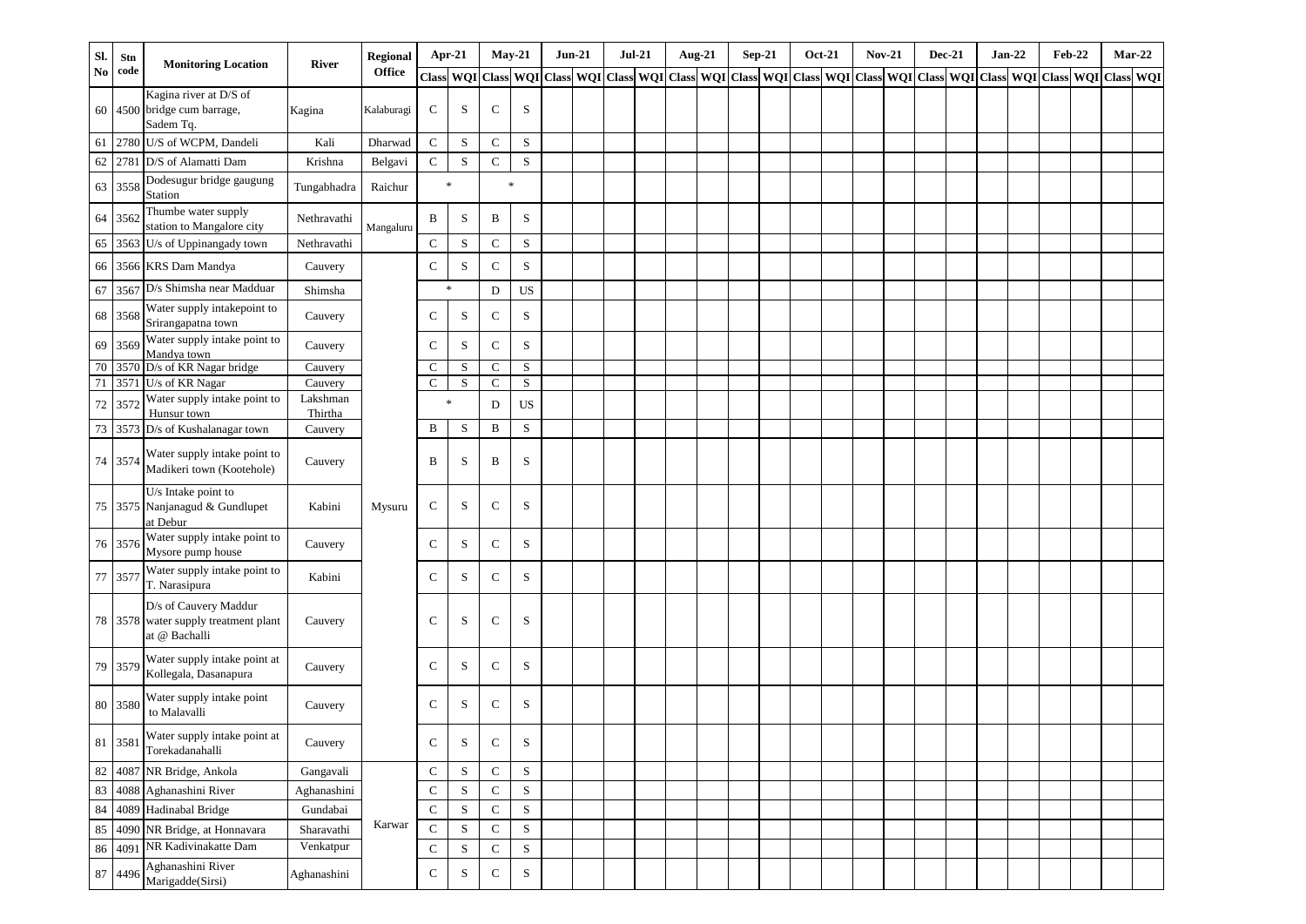| SI. | Stn     | <b>Monitoring Location</b>                                                                                         | <b>River</b>        | <b>Regional</b> | $Apr-21$                   |           |                            | $May-21$                                                                                  | $Jun-21$ |  | <b>Jul-21</b> | Aug-21 | $Sep-21$ |  | <b>Oct-21</b> | <b>Nov-21</b> | $Dec-21$ | $Jan-22$                          | <b>Feb-22</b> |               | $Mar-22$ |
|-----|---------|--------------------------------------------------------------------------------------------------------------------|---------------------|-----------------|----------------------------|-----------|----------------------------|-------------------------------------------------------------------------------------------|----------|--|---------------|--------|----------|--|---------------|---------------|----------|-----------------------------------|---------------|---------------|----------|
| No  | code    |                                                                                                                    |                     | <b>Office</b>   | <b>Class</b>               |           |                            | WQI Class WQI Class WQI Class WQI Class WQI Class WQI Class WQI Class WQI Class WQI Class |          |  |               |        |          |  |               |               |          | <b>WQI</b> Class <b>WQI</b> Class |               | WQI Class WQI |          |
| 60  |         | Kagina river at D/S of<br>4500 bridge cum barrage,<br>Sadem Tq.                                                    | Kagina              | Kalaburagi      | C                          | S         | C                          | S                                                                                         |          |  |               |        |          |  |               |               |          |                                   |               |               |          |
| 61  |         | 2780 U/S of WCPM, Dandeli                                                                                          | Kali                | Dharwad         | ${\bf C}$                  | ${\bf S}$ | ${\bf C}$                  | $\mathbf S$                                                                               |          |  |               |        |          |  |               |               |          |                                   |               |               |          |
| 62  |         | 2781 D/S of Alamatti Dam                                                                                           | Krishna             | Belgavi         | $\mathbf C$                | S         | $\mathbf C$                | $\mathbf S$                                                                               |          |  |               |        |          |  |               |               |          |                                   |               |               |          |
| 63  | 3558    | Dodesugur bridge gaugung<br>Station                                                                                | Tungabhadra         | Raichur         | $\ast$                     |           |                            | $\ast$                                                                                    |          |  |               |        |          |  |               |               |          |                                   |               |               |          |
|     | 64 3562 | Thumbe water supply<br>station to Mangalore city                                                                   | Nethravathi         | Mangaluru       | B                          | S         | B                          | S                                                                                         |          |  |               |        |          |  |               |               |          |                                   |               |               |          |
|     |         | 65 3563 U/s of Uppinangady town                                                                                    | Nethravathi         |                 | $\mathbf C$                | S         | $\mathbf C$                | $\rm S$                                                                                   |          |  |               |        |          |  |               |               |          |                                   |               |               |          |
|     |         | 66 3566 KRS Dam Mandya                                                                                             | Cauvery             |                 | ${\bf C}$                  | S         | $\mathbf C$                | $\mathbf S$                                                                               |          |  |               |        |          |  |               |               |          |                                   |               |               |          |
| 67  | 3567    | D/s Shimsha near Madduar                                                                                           | Shimsha             |                 | $\ast$                     |           | $\mathbf D$                | <b>US</b>                                                                                 |          |  |               |        |          |  |               |               |          |                                   |               |               |          |
| 68  | 3568    | Water supply intakepoint to<br>Srirangapatna town                                                                  | Cauvery             |                 | $\mathbf C$                | S         | $\mathbf C$                | $\mathbf S$                                                                               |          |  |               |        |          |  |               |               |          |                                   |               |               |          |
| 69  | 3569    | Water supply intake point to<br>Mandya town                                                                        | Cauvery             |                 | ${\bf C}$                  | S         | $\mathbf C$                | $\mathbf S$                                                                               |          |  |               |        |          |  |               |               |          |                                   |               |               |          |
| 70  |         | 3570 D/s of KR Nagar bridge<br>3571 U/s of KR Nagar                                                                | Cauvery             |                 | $\mathbf C$<br>$\mathbf C$ | S<br>S    | $\mathbf C$<br>$\mathbf C$ | $\mathbf S$                                                                               |          |  |               |        |          |  |               |               |          |                                   |               |               |          |
| 71  |         | Water supply intake point to                                                                                       | Cauvery<br>Lakshman |                 | $\ast$                     |           |                            | $\mathbf S$                                                                               |          |  |               |        |          |  |               |               |          |                                   |               |               |          |
|     | 72 3572 | Hunsur town                                                                                                        | Thirtha             |                 |                            |           | D                          | <b>US</b>                                                                                 |          |  |               |        |          |  |               |               |          |                                   |               |               |          |
|     |         | 73 3573 D/s of Kushalanagar town                                                                                   | Cauvery             |                 | B                          | S         | B                          | S                                                                                         |          |  |               |        |          |  |               |               |          |                                   |               |               |          |
|     | 74 3574 | Water supply intake point to<br>Madikeri town (Kootehole)                                                          | Cauvery             |                 | B                          | S         | B                          | S                                                                                         |          |  |               |        |          |  |               |               |          |                                   |               |               |          |
|     |         | U/s Intake point to<br>75 3575 Nanjanagud & Gundlupet<br>at Debur                                                  | Kabini              | Mysuru          | ${\bf C}$                  | S         | $\mathbf C$                | S                                                                                         |          |  |               |        |          |  |               |               |          |                                   |               |               |          |
|     | 76 3576 | Water supply intake point to<br>Mysore pump house                                                                  | Cauvery             |                 | $\mathbf C$                | S         | $\mathbf C$                | S                                                                                         |          |  |               |        |          |  |               |               |          |                                   |               |               |          |
|     | 77 3577 | Water supply intake point to<br>T. Narasipura                                                                      | Kabini              |                 | $\mathbf C$                | S         | $\mathbf C$                | $\mathbf S$                                                                               |          |  |               |        |          |  |               |               |          |                                   |               |               |          |
|     |         | D/s of Cauvery Maddur<br>78 3578 water supply treatment plant<br>at @ Bachalli                                     | Cauvery             |                 | $\mathbf C$                | S         | $\mathbf C$                | $\mathbf S$                                                                               |          |  |               |        |          |  |               |               |          |                                   |               |               |          |
|     | 79 3579 | Water supply intake point at<br>Kollegala, Dasanapura                                                              | Cauvery             |                 | C                          | S         | $\mathbf C$                | S                                                                                         |          |  |               |        |          |  |               |               |          |                                   |               |               |          |
|     | 80 3580 | Water supply intake point<br>to Malavalli                                                                          | Cauvery             |                 | C                          | S         | $\mathbf C$                | S                                                                                         |          |  |               |        |          |  |               |               |          |                                   |               |               |          |
|     |         | Water supply intake point at<br>$\begin{array}{ c c c }\n\hline\n 81 & 3581 & \text{Torekadanahalli}\n\end{array}$ | Cauvery             |                 | C                          | S         | C                          | S                                                                                         |          |  |               |        |          |  |               |               |          |                                   |               |               |          |
| 82  |         | 4087 NR Bridge, Ankola                                                                                             | Gangavali           |                 | ${\bf C}$                  | S         | $\mathbf C$                | ${\bf S}$                                                                                 |          |  |               |        |          |  |               |               |          |                                   |               |               |          |
| 83  |         | 4088 Aghanashini River                                                                                             | Aghanashini         |                 | $\mathbf C$                | S         | $\mathbf C$                | S                                                                                         |          |  |               |        |          |  |               |               |          |                                   |               |               |          |
| 84  |         | 4089 Hadinabal Bridge                                                                                              | Gundabai            |                 | $\mathbf C$                | S         | C                          | $\mathbf S$                                                                               |          |  |               |        |          |  |               |               |          |                                   |               |               |          |
| 85  |         | 4090 NR Bridge, at Honnavara                                                                                       | Sharavathi          | Karwar          | $\mathbf C$                | S         | $\mathbf C$                | $\mathbf S$                                                                               |          |  |               |        |          |  |               |               |          |                                   |               |               |          |
| 86  |         | 4091 NR Kadivinakatte Dam                                                                                          | Venkatpur           |                 | $\mathbf C$                | S         | $\mathbf C$                | $\mathbf S$                                                                               |          |  |               |        |          |  |               |               |          |                                   |               |               |          |
|     | 87 4496 | Aghanashini River<br>Marigadde(Sirsi)                                                                              | Aghanashini         |                 | ${\bf C}$                  | S         | ${\bf C}$                  | $\mathbf S$                                                                               |          |  |               |        |          |  |               |               |          |                                   |               |               |          |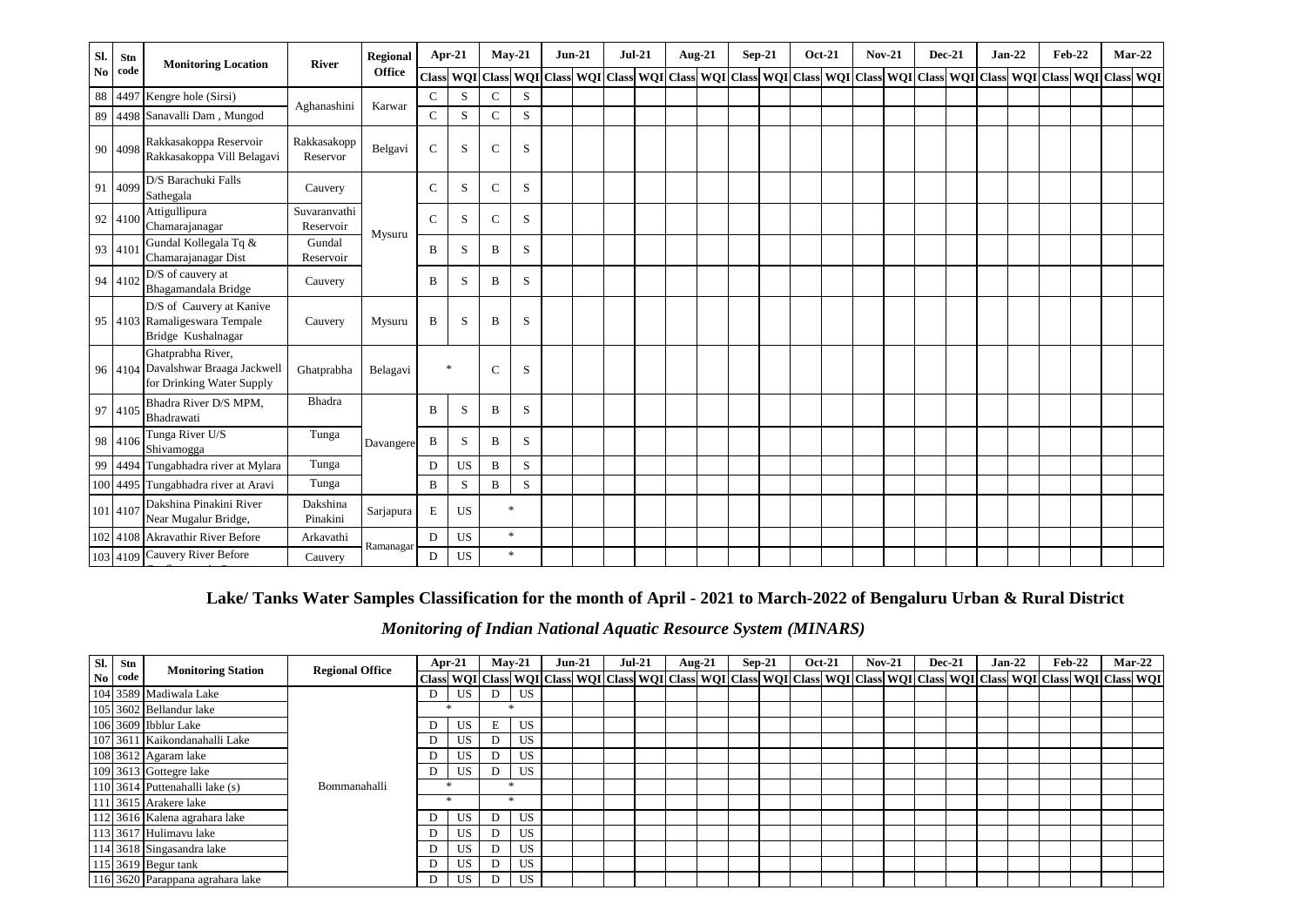| SI.            | Stn      | <b>Monitoring Location</b>                                                           | River                     | <b>Regional</b> | $Apr-21$     |           | $May-21$      |             | $Jun-21$                                                                                                                                                                                                                       | $Jul-21$ |  | Aug-21 | $Sep-21$ | <b>Oct-21</b> | $Nov-21$ | <b>Dec-21</b> | $Jan-22$ | <b>Feb-22</b> | $Mar-22$ |  |
|----------------|----------|--------------------------------------------------------------------------------------|---------------------------|-----------------|--------------|-----------|---------------|-------------|--------------------------------------------------------------------------------------------------------------------------------------------------------------------------------------------------------------------------------|----------|--|--------|----------|---------------|----------|---------------|----------|---------------|----------|--|
| N <sub>0</sub> | code     |                                                                                      |                           | <b>Office</b>   | <b>Class</b> |           |               |             | WQI Class WQI Class WQI Class WQI Class WQI Class WQI Class WQI Class WQI Class WQI Class WQI Class WQI Class WQI Class WQI Class WQI Class WQI Class WQI Class WQI Class WQI Class WQI Class WQI Class WQI Class WQI Class WQ |          |  |        |          |               |          |               |          |               |          |  |
| 88             |          | 4497 Kengre hole (Sirsi)                                                             | Aghanashini               | Karwar          | $\mathbf C$  | S         | $\mathbf C$   | S           |                                                                                                                                                                                                                                |          |  |        |          |               |          |               |          |               |          |  |
| 89             |          | 4498 Sanavalli Dam, Mungod                                                           |                           |                 | $\mathbf{C}$ | S         | $\mathcal{C}$ | S           |                                                                                                                                                                                                                                |          |  |        |          |               |          |               |          |               |          |  |
|                | 90 4098  | Rakkasakoppa Reservoir<br>Rakkasakoppa Vill Belagavi                                 | Rakkasakopp<br>Reservor   | Belgavi         | $\mathbf C$  | S         | $\mathbf C$   | S           |                                                                                                                                                                                                                                |          |  |        |          |               |          |               |          |               |          |  |
|                | 91 4099  | D/S Barachuki Falls<br>Sathegala                                                     | Cauvery                   |                 | $\mathbf C$  | S         | $\mathbf C$   | S           |                                                                                                                                                                                                                                |          |  |        |          |               |          |               |          |               |          |  |
|                | 92 4100  | Attigullipura<br>Chamarajanagar                                                      | Suvaranvathi<br>Reservoir | Mysuru          | $\mathbf C$  | S         | $\mathbf C$   | S           |                                                                                                                                                                                                                                |          |  |        |          |               |          |               |          |               |          |  |
|                | 93 4101  | Gundal Kollegala Tq &<br>Chamarajanagar Dist                                         | Gundal<br>Reservoir       |                 | B            | S         | B             | S           |                                                                                                                                                                                                                                |          |  |        |          |               |          |               |          |               |          |  |
|                | 94 4102  | D/S of cauvery at<br>Bhagamandala Bridge                                             | Cauvery                   |                 | B            | S         | B             | S           |                                                                                                                                                                                                                                |          |  |        |          |               |          |               |          |               |          |  |
|                |          | D/S of Cauvery at Kanive<br>95 4103 Ramaligeswara Tempale<br>Bridge Kushalnagar      | Cauvery                   | Mysuru          | B            | S         | B             | S           |                                                                                                                                                                                                                                |          |  |        |          |               |          |               |          |               |          |  |
|                |          | Ghatprabha River,<br>96 4104 Davalshwar Braaga Jackwell<br>for Drinking Water Supply | Ghatprabha                | Belagavi        | $\ast$       |           | $\mathbf C$   | S           |                                                                                                                                                                                                                                |          |  |        |          |               |          |               |          |               |          |  |
|                | 97 4105  | Bhadra River D/S MPM,<br>Bhadrawati                                                  | Bhadra                    |                 | B            | S         | B             | S           |                                                                                                                                                                                                                                |          |  |        |          |               |          |               |          |               |          |  |
|                | 98 4106  | Tunga River U/S<br>Shivamogga                                                        | Tunga                     | Davangere       | B            | S         | B             | S           |                                                                                                                                                                                                                                |          |  |        |          |               |          |               |          |               |          |  |
|                |          | 99 4494 Tungabhadra river at Mylara                                                  | Tunga                     |                 | D            | US        | B             | S           |                                                                                                                                                                                                                                |          |  |        |          |               |          |               |          |               |          |  |
|                |          | 100 4495 Tungabhadra river at Aravi                                                  | Tunga                     |                 | B            | S         | $\, {\bf B}$  | $\mathbf S$ |                                                                                                                                                                                                                                |          |  |        |          |               |          |               |          |               |          |  |
|                | 101 4107 | Dakshina Pinakini River<br>Near Mugalur Bridge,                                      | Dakshina<br>Pinakini      | Sarjapura       | E            | <b>US</b> |               | $\ast$      |                                                                                                                                                                                                                                |          |  |        |          |               |          |               |          |               |          |  |
|                |          | 102 4108 Akravathir River Before                                                     | Arkavathi                 | Ramanagar       | D            | US        |               | $\ast$      |                                                                                                                                                                                                                                |          |  |        |          |               |          |               |          |               |          |  |
|                |          | 103 4109 Cauvery River Before                                                        | Cauvery                   |                 | D            | <b>US</b> |               | $\ast$      |                                                                                                                                                                                                                                |          |  |        |          |               |          |               |          |               |          |  |

### **Lake/ Tanks Water Samples Classification for the month of April - 2021 to March-2022 of Bengaluru Urban & Rural District**

## *Monitoring of Indian National Aquatic Resource System (MINARS)*

| Sl. | Stn     | <b>Monitoring Station</b>        | <b>Regional Office</b> | Apr-21 |           | $Mav-21$ |           | $Jun-21$ | <b>Jul-21</b> | Aug-21 | $Sep-21$ | <b>Oct-21</b> | $Nov-21$ |  | <b>Dec-21</b> | $Jan-22$                                                                                                                                                                            | $Feb-22$ |  | $Mar-22$ |
|-----|---------|----------------------------------|------------------------|--------|-----------|----------|-----------|----------|---------------|--------|----------|---------------|----------|--|---------------|-------------------------------------------------------------------------------------------------------------------------------------------------------------------------------------|----------|--|----------|
|     | No code |                                  |                        |        |           |          |           |          |               |        |          |               |          |  |               | Class  WQI   Class  WQI   Class  WQI   Class  WQI   Class  WQI   Class  WQI   Class  WQI   Class  WQI   Class  WQI   Class  WQI   Class  WQI   Class  WQI   Class  WQI   Class  WQI |          |  |          |
|     |         | 104 3589 Madiwala Lake           |                        |        | US.       | D        | <b>US</b> |          |               |        |          |               |          |  |               |                                                                                                                                                                                     |          |  |          |
|     |         | 105 3602 Bellandur lake          |                        |        |           |          |           |          |               |        |          |               |          |  |               |                                                                                                                                                                                     |          |  |          |
|     |         | 106 3609 Ibblur Lake             |                        |        | <b>US</b> | E        | <b>US</b> |          |               |        |          |               |          |  |               |                                                                                                                                                                                     |          |  |          |
|     |         | 107 3611 Kaikondanahalli Lake    |                        |        | JS        | D        | US        |          |               |        |          |               |          |  |               |                                                                                                                                                                                     |          |  |          |
|     |         | 108 3612 Agaram lake             |                        |        | US        | D        | US        |          |               |        |          |               |          |  |               |                                                                                                                                                                                     |          |  |          |
|     |         | 109 3613 Gottegre lake           |                        |        | US        | D        | US        |          |               |        |          |               |          |  |               |                                                                                                                                                                                     |          |  |          |
|     |         | 110 3614 Puttenahalli lake (s)   | Bommanahalli           |        |           |          |           |          |               |        |          |               |          |  |               |                                                                                                                                                                                     |          |  |          |
|     |         | 111 3615 Arakere lake            |                        |        |           |          |           |          |               |        |          |               |          |  |               |                                                                                                                                                                                     |          |  |          |
|     |         | 112 3616 Kalena agrahara lake    |                        |        | US        | D        | <b>US</b> |          |               |        |          |               |          |  |               |                                                                                                                                                                                     |          |  |          |
|     |         | 113 3617 Hulimavu lake           |                        |        | JS        | D        | US        |          |               |        |          |               |          |  |               |                                                                                                                                                                                     |          |  |          |
|     |         | 114 3618 Singasandra lake        |                        |        | US        | D        | <b>US</b> |          |               |        |          |               |          |  |               |                                                                                                                                                                                     |          |  |          |
|     |         | 115 3619 Begur tank              |                        |        | US        | D        | <b>US</b> |          |               |        |          |               |          |  |               |                                                                                                                                                                                     |          |  |          |
|     |         | 116 3620 Parappana agrahara lake |                        | D.     | <b>US</b> | D        | <b>US</b> |          |               |        |          |               |          |  |               |                                                                                                                                                                                     |          |  |          |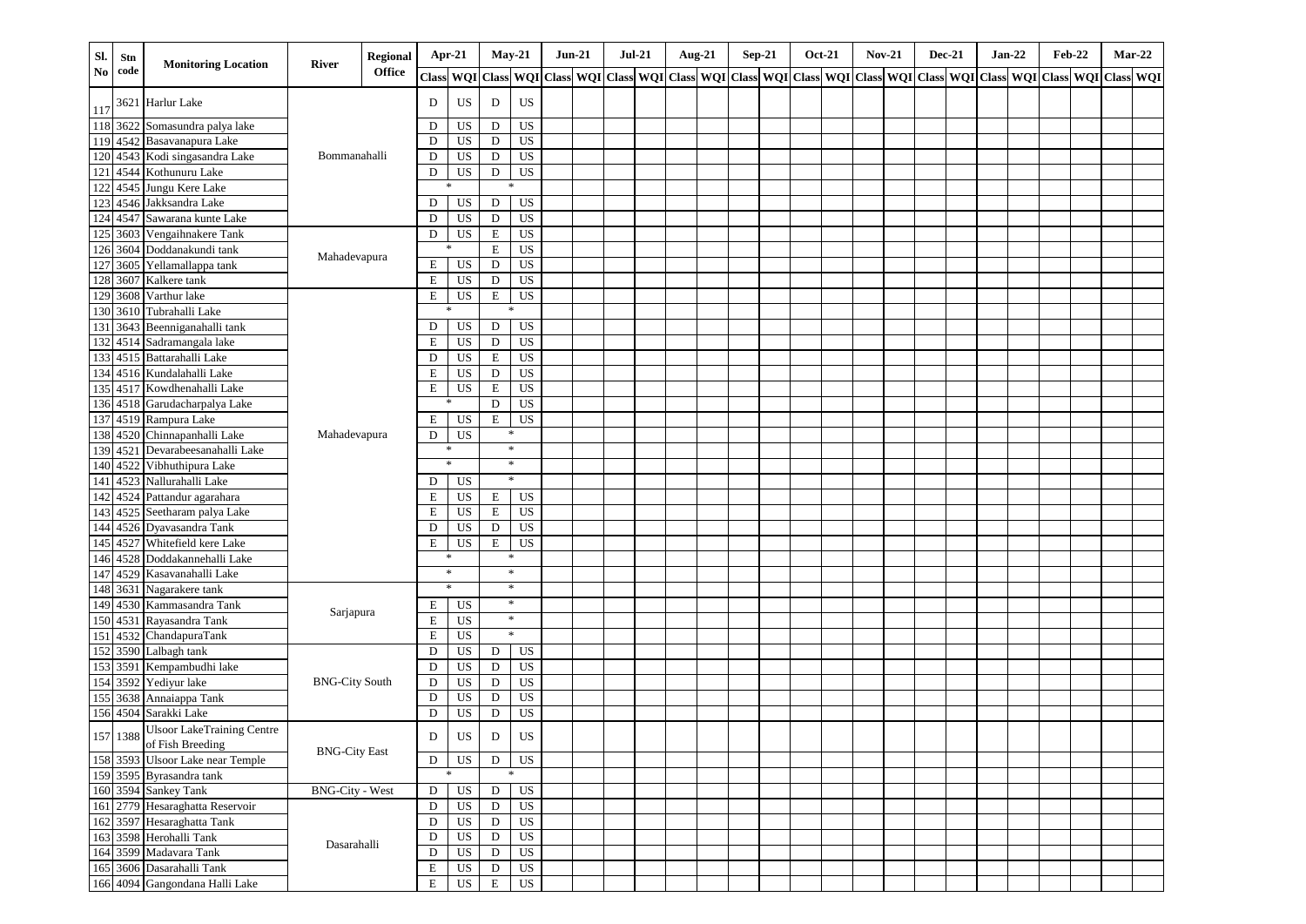| Sl.            | Stn      | <b>Monitoring Location</b>                            | River                  | Regional |              | $Apr-21$        |              | $May-21$       | $Jun-21$ |                                                                                 | $Jul-21$ | <b>Aug-21</b> | $Sep-21$ | <b>Oct-21</b> | <b>Nov-21</b> | <b>Dec-21</b> | $Jan-22$                          | Feb-22 |            | $Mar-22$  |
|----------------|----------|-------------------------------------------------------|------------------------|----------|--------------|-----------------|--------------|----------------|----------|---------------------------------------------------------------------------------|----------|---------------|----------|---------------|---------------|---------------|-----------------------------------|--------|------------|-----------|
| N <sub>0</sub> | code     |                                                       |                        | Office   | <b>Class</b> | <b>WQI</b>      | <b>Class</b> |                |          | WQI Class WQI Class WQI Class WQI Class WQI Class WQI Class WQI Class WQI Class |          |               |          |               |               |               | <b>WQI</b> Class <b>WQI</b> Class |        | <b>WQI</b> | Class WQI |
| 117            |          | 3621 Harlur Lake                                      |                        |          | D            | US              | $\mathbf D$  | US             |          |                                                                                 |          |               |          |               |               |               |                                   |        |            |           |
| 118            |          | 3622 Somasundra palya lake                            |                        |          | D            | US              | $\mathbf D$  | US             |          |                                                                                 |          |               |          |               |               |               |                                   |        |            |           |
| 119            |          | 4542 Basavanapura Lake                                |                        |          | D            | US              | D            | <b>US</b>      |          |                                                                                 |          |               |          |               |               |               |                                   |        |            |           |
| 120            | 4543     | Kodi singasandra Lake                                 | Bommanahalli           |          | $\mathbf D$  | US              | D            | <b>US</b>      |          |                                                                                 |          |               |          |               |               |               |                                   |        |            |           |
| 121            |          | 4544 Kothunuru Lake                                   |                        |          | D            | US              | $\mathbf D$  | <b>US</b>      |          |                                                                                 |          |               |          |               |               |               |                                   |        |            |           |
| 122            |          | 4545 Jungu Kere Lake                                  |                        |          |              |                 |              | *              |          |                                                                                 |          |               |          |               |               |               |                                   |        |            |           |
| 123            | 4546     | Jakksandra Lake                                       |                        |          | D            | US              | $\mathbf D$  | <b>US</b>      |          |                                                                                 |          |               |          |               |               |               |                                   |        |            |           |
| 124            |          | 4547 Sawarana kunte Lake                              |                        |          | D            | US              | $\mathbf D$  | US             |          |                                                                                 |          |               |          |               |               |               |                                   |        |            |           |
| 125            |          | 3603 Vengaihnakere Tank                               |                        |          | ${\bf D}$    | US              | $\mathbf E$  | US             |          |                                                                                 |          |               |          |               |               |               |                                   |        |            |           |
| 126            |          | 3604 Doddanakundi tank                                | Mahadevapura           |          |              |                 | $\mathbf E$  | US             |          |                                                                                 |          |               |          |               |               |               |                                   |        |            |           |
| 127            | 3605     | Yellamallappa tank                                    |                        |          | E            | US              | $\mathbf D$  | US             |          |                                                                                 |          |               |          |               |               |               |                                   |        |            |           |
| 128            | 3607     | Kalkere tank                                          |                        |          | E            | US              | D            | US             |          |                                                                                 |          |               |          |               |               |               |                                   |        |            |           |
| 129            | 3608     | Varthur lake                                          |                        |          | $\mathbf E$  | US              | $\mathbf E$  | US             |          |                                                                                 |          |               |          |               |               |               |                                   |        |            |           |
|                |          | 130 3610 Tubrahalli Lake                              |                        |          |              |                 |              |                |          |                                                                                 |          |               |          |               |               |               |                                   |        |            |           |
| 131            |          | 3643 Beenniganahalli tank                             |                        |          | D            | US              | $\mathbf D$  | US             |          |                                                                                 |          |               |          |               |               |               |                                   |        |            |           |
| 132            |          | 4514 Sadramangala lake                                |                        |          | $\mathbf E$  | <b>US</b>       | D            | US             |          |                                                                                 |          |               |          |               |               |               |                                   |        |            |           |
| 133            |          | 4515 Battarahalli Lake                                |                        |          | $\mathbf D$  | <b>US</b>       | $\mathbf E$  | US             |          |                                                                                 |          |               |          |               |               |               |                                   |        |            |           |
| 134            |          | 4516 Kundalahalli Lake                                |                        |          | $\mathbf E$  | US              | D            | US             |          |                                                                                 |          |               |          |               |               |               |                                   |        |            |           |
| 135            |          | 4517 Kowdhenahalli Lake                               |                        |          | Е            | US              | $\mathbf E$  | US             |          |                                                                                 |          |               |          |               |               |               |                                   |        |            |           |
|                |          | 136 4518 Garudacharpalya Lake                         |                        |          |              | $\ast$          | D            | US             |          |                                                                                 |          |               |          |               |               |               |                                   |        |            |           |
| 137            |          | 4519 Rampura Lake                                     |                        |          | E            | US              | E            | <b>US</b>      |          |                                                                                 |          |               |          |               |               |               |                                   |        |            |           |
| 138            |          | 4520 Chinnapanhalli Lake                              | Mahadevapura           |          | $\mathbf D$  | US              |              | *              |          |                                                                                 |          |               |          |               |               |               |                                   |        |            |           |
| 139            |          | 4521 Devarabeesanahalli Lake                          |                        |          |              | *               |              | $\ast$         |          |                                                                                 |          |               |          |               |               |               |                                   |        |            |           |
| 140            |          | 4522 Vibhuthipura Lake                                |                        |          |              | $\ast$          |              | $\ast$         |          |                                                                                 |          |               |          |               |               |               |                                   |        |            |           |
| 141            |          | 4523 Nallurahalli Lake                                |                        |          | D            | US              |              | $\ast$         |          |                                                                                 |          |               |          |               |               |               |                                   |        |            |           |
| 142            |          | 4524 Pattandur agarahara                              |                        |          | E            | US              | E            | US             |          |                                                                                 |          |               |          |               |               |               |                                   |        |            |           |
| 143            |          | 4525 Seetharam palya Lake                             |                        |          | E            | <b>US</b>       | E            | US             |          |                                                                                 |          |               |          |               |               |               |                                   |        |            |           |
| 144            |          | 4526 Dyavasandra Tank                                 |                        |          | D            | US              | D            | US             |          |                                                                                 |          |               |          |               |               |               |                                   |        |            |           |
| 145            |          | 4527 Whitefield kere Lake                             |                        |          | E            | US              | E            | <b>US</b>      |          |                                                                                 |          |               |          |               |               |               |                                   |        |            |           |
| 146            |          | 4528 Doddakannehalli Lake                             |                        |          |              | ∗               |              | ∗              |          |                                                                                 |          |               |          |               |               |               |                                   |        |            |           |
| 147            |          | 4529 Kasavanahalli Lake                               |                        |          |              | $\ast$          |              | $\ast$         |          |                                                                                 |          |               |          |               |               |               |                                   |        |            |           |
| 148            |          | 3631 Nagarakere tank                                  |                        |          |              | $\ast$          |              | $\ast$         |          |                                                                                 |          |               |          |               |               |               |                                   |        |            |           |
| 149            |          | 4530 Kammasandra Tank                                 |                        |          | E            | US              |              | $\ast$         |          |                                                                                 |          |               |          |               |               |               |                                   |        |            |           |
| 150            |          | 4531 Rayasandra Tank                                  | Sarjapura              |          | $\mathbf E$  | US              |              | *              |          |                                                                                 |          |               |          |               |               |               |                                   |        |            |           |
| 151            |          | 4532 ChandapuraTank                                   |                        |          | E            | US              |              | $\ast$         |          |                                                                                 |          |               |          |               |               |               |                                   |        |            |           |
| 152            |          | 3590 Lalbagh tank                                     |                        |          | D            | US              | D            | US             |          |                                                                                 |          |               |          |               |               |               |                                   |        |            |           |
| 153            |          | 3591 Kempambudhi lake                                 |                        |          | $\mathbf D$  | US              | $\mathbf D$  | US             |          |                                                                                 |          |               |          |               |               |               |                                   |        |            |           |
| 154            |          | 3592 Yediyur lake                                     | <b>BNG-City South</b>  |          | D            | US              | D            | US             |          |                                                                                 |          |               |          |               |               |               |                                   |        |            |           |
| 155            |          | 3638 Annaiappa Tank                                   |                        |          | $\mathbf D$  | <b>US</b>       | $\mathbf D$  | US             |          |                                                                                 |          |               |          |               |               |               |                                   |        |            |           |
|                |          | 156 4504 Sarakki Lake                                 |                        |          | $\mathbf D$  | US              | D            | <b>US</b>      |          |                                                                                 |          |               |          |               |               |               |                                   |        |            |           |
|                | 157 1388 | <b>Ulsoor LakeTraining Centre</b><br>of Fish Breeding |                        |          | ${\rm D}$    | $_{\rm US}$     | D            | US             |          |                                                                                 |          |               |          |               |               |               |                                   |        |            |           |
|                |          | 158 3593 Ulsoor Lake near Temple                      | <b>BNG-City East</b>   |          | D            | US              | D            | US             |          |                                                                                 |          |               |          |               |               |               |                                   |        |            |           |
|                |          | 159 3595 Byrasandra tank                              |                        |          |              | $\ast$          |              | *              |          |                                                                                 |          |               |          |               |               |               |                                   |        |            |           |
|                |          | 160 3594 Sankey Tank                                  | <b>BNG-City - West</b> |          | D            | US              | $\mathbf D$  | <b>US</b>      |          |                                                                                 |          |               |          |               |               |               |                                   |        |            |           |
|                |          | 161 2779 Hesaraghatta Reservoir                       |                        |          | D            | <b>US</b>       | ${\rm D}$    | US             |          |                                                                                 |          |               |          |               |               |               |                                   |        |            |           |
|                |          | 162 3597 Hesaraghatta Tank                            |                        |          | D            | $_{\rm US}$     | ${\bf D}$    | U <sub>S</sub> |          |                                                                                 |          |               |          |               |               |               |                                   |        |            |           |
|                |          | 163 3598 Herohalli Tank                               |                        |          | $\mathbf D$  | <b>US</b>       | ${\rm D}$    | US             |          |                                                                                 |          |               |          |               |               |               |                                   |        |            |           |
|                |          | 164 3599 Madavara Tank                                | Dasarahalli            |          | D            | $\overline{US}$ | D            | US             |          |                                                                                 |          |               |          |               |               |               |                                   |        |            |           |
|                |          | 165 3606 Dasarahalli Tank                             |                        |          | $\mathbf E$  | US              | D            | US <sub></sub> |          |                                                                                 |          |               |          |               |               |               |                                   |        |            |           |
|                |          | 166 4094 Gangondana Halli Lake                        |                        |          | $\mathbf E$  | $_{\rm US}$     | $\mathbf E$  | US             |          |                                                                                 |          |               |          |               |               |               |                                   |        |            |           |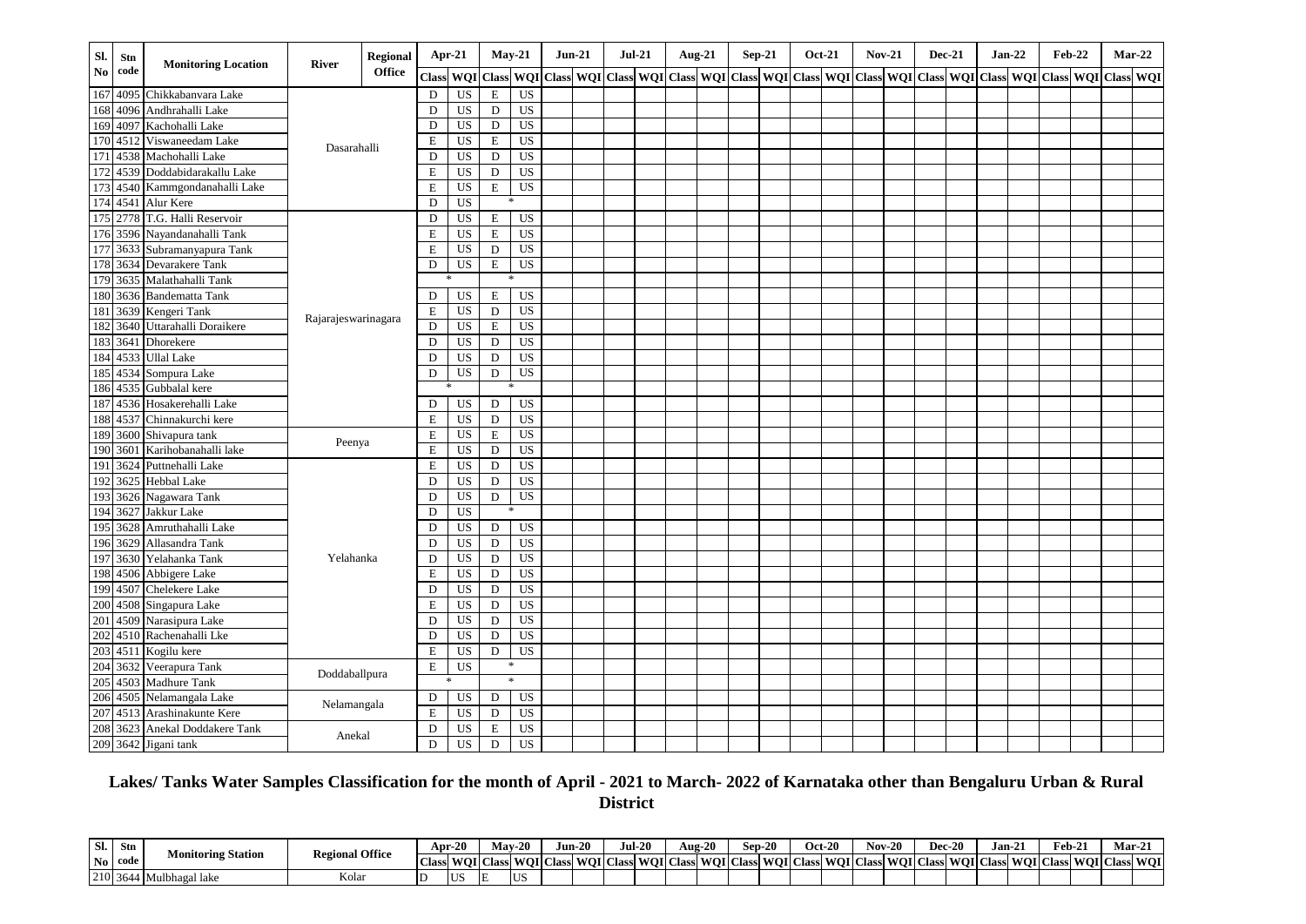| Sl. | Stn      | <b>Monitoring Location</b> | River               | <b>Regional</b> |             | Apr-21    | $May-21$     |                 | $Jun-21$                                                                          | <b>Jul-21</b> |  | Aug-21 | $Sep-21$ | <b>Oct-21</b> | <b>Nov-21</b> | <b>Dec-21</b> | $Jan-22$                                                    | <b>Feb-22</b> | $Mar-22$ |  |
|-----|----------|----------------------------|---------------------|-----------------|-------------|-----------|--------------|-----------------|-----------------------------------------------------------------------------------|---------------|--|--------|----------|---------------|---------------|---------------|-------------------------------------------------------------|---------------|----------|--|
| No. | code     |                            |                     | Office          | Class       | WQI       | <b>Class</b> |                 | WQI   Class   WQI   Class   WQI   Class   WQI   Class   WQI   Class   WQI   Class |               |  |        |          |               |               |               | WQI   Class   WQI   Class   WQI   Class   WQI   Class   WQI |               |          |  |
| 167 | 4095     | Chikkabanvara Lake         |                     |                 | $\mathbf D$ | <b>US</b> | $\mathbf E$  | <b>US</b>       |                                                                                   |               |  |        |          |               |               |               |                                                             |               |          |  |
| 168 | 4096     | Andhrahalli Lake           |                     |                 | D           | US        | D            | US              |                                                                                   |               |  |        |          |               |               |               |                                                             |               |          |  |
| 169 | 4097     | Kachohalli Lake            |                     |                 | D           | US        | D            | $\overline{US}$ |                                                                                   |               |  |        |          |               |               |               |                                                             |               |          |  |
| 170 | 4512     | Viswaneedam Lake           | Dasarahalli         |                 | E           | <b>US</b> | $\mathbf E$  | <b>US</b>       |                                                                                   |               |  |        |          |               |               |               |                                                             |               |          |  |
| 171 |          | 4538 Machohalli Lake       |                     |                 | D           | <b>US</b> | ${\bf D}$    | US              |                                                                                   |               |  |        |          |               |               |               |                                                             |               |          |  |
| 172 |          | 4539 Doddabidarakallu Lake |                     |                 | E           | <b>US</b> | D            | US              |                                                                                   |               |  |        |          |               |               |               |                                                             |               |          |  |
| 173 |          | 4540 Kammgondanahalli Lake |                     |                 | E           | <b>US</b> | E            | US              |                                                                                   |               |  |        |          |               |               |               |                                                             |               |          |  |
|     |          | 174 4541 Alur Kere         |                     |                 | D           | <b>US</b> |              |                 |                                                                                   |               |  |        |          |               |               |               |                                                             |               |          |  |
|     | 175 2778 | T.G. Halli Reservoir       |                     |                 | $\mathbf D$ | <b>US</b> | $\mathbf E$  | <b>US</b>       |                                                                                   |               |  |        |          |               |               |               |                                                             |               |          |  |
| 176 | 3596     | Nayandanahalli Tank        |                     |                 | $\mathbf E$ | <b>US</b> | E            | US              |                                                                                   |               |  |        |          |               |               |               |                                                             |               |          |  |
| 177 | 3633     | Subramanyapura Tank        |                     |                 | E           | <b>US</b> | D            | <b>US</b>       |                                                                                   |               |  |        |          |               |               |               |                                                             |               |          |  |
| 178 | 3634     | Devarakere Tank            |                     |                 | D           | <b>US</b> | $\mathbf E$  | US              |                                                                                   |               |  |        |          |               |               |               |                                                             |               |          |  |
| 179 |          | 3635 Malathahalli Tank     |                     |                 |             |           |              |                 |                                                                                   |               |  |        |          |               |               |               |                                                             |               |          |  |
| 180 |          | 3636 Bandematta Tank       |                     |                 | D           | US        | E            | <b>US</b>       |                                                                                   |               |  |        |          |               |               |               |                                                             |               |          |  |
| 181 |          | 3639 Kengeri Tank          |                     |                 | E           | <b>US</b> | D            | $\overline{US}$ |                                                                                   |               |  |        |          |               |               |               |                                                             |               |          |  |
| 182 |          | 3640 Uttarahalli Doraikere | Rajarajeswarinagara |                 | D           | <b>US</b> | $\mathbf E$  | <b>US</b>       |                                                                                   |               |  |        |          |               |               |               |                                                             |               |          |  |
| 183 | 3641     | Dhorekere                  |                     |                 | D           | <b>US</b> | D            | $\overline{US}$ |                                                                                   |               |  |        |          |               |               |               |                                                             |               |          |  |
| 184 | 4533     | <b>Ullal Lake</b>          |                     |                 | $\mathbf D$ | <b>US</b> | D            | US              |                                                                                   |               |  |        |          |               |               |               |                                                             |               |          |  |
| 185 | 4534     | Sompura Lake               |                     |                 | D           | <b>US</b> | D            | <b>US</b>       |                                                                                   |               |  |        |          |               |               |               |                                                             |               |          |  |
| 186 |          | 4535 Gubbalal kere         |                     |                 |             |           |              | *               |                                                                                   |               |  |        |          |               |               |               |                                                             |               |          |  |
| 187 |          | 4536 Hosakerehalli Lake    |                     |                 | D           | <b>US</b> | D            | US              |                                                                                   |               |  |        |          |               |               |               |                                                             |               |          |  |
| 188 |          | 4537 Chinnakurchi kere     |                     |                 | E           | US        | D            | US              |                                                                                   |               |  |        |          |               |               |               |                                                             |               |          |  |
| 189 |          | 3600 Shivapura tank        |                     |                 | E           | <b>US</b> | $\mathbf E$  | <b>US</b>       |                                                                                   |               |  |        |          |               |               |               |                                                             |               |          |  |
| 190 | 3601     | Karihobanahalli lake       | Peenya              |                 | $\mathbf E$ | <b>US</b> | $\mathbf D$  | US              |                                                                                   |               |  |        |          |               |               |               |                                                             |               |          |  |
| 191 | 3624     | Puttnehalli Lake           |                     |                 | $\mathbf E$ | <b>US</b> | D            | <b>US</b>       |                                                                                   |               |  |        |          |               |               |               |                                                             |               |          |  |
| 192 | 3625     | Hebbal Lake                |                     |                 | D           | <b>US</b> | D            | US              |                                                                                   |               |  |        |          |               |               |               |                                                             |               |          |  |
| 193 |          | 3626 Nagawara Tank         |                     |                 | D           | <b>US</b> | D            | $\overline{US}$ |                                                                                   |               |  |        |          |               |               |               |                                                             |               |          |  |
| 194 | 3627     | Jakkur Lake                |                     |                 | D           | <b>US</b> |              |                 |                                                                                   |               |  |        |          |               |               |               |                                                             |               |          |  |
| 195 | 3628     | Amruthahalli Lake          |                     |                 | D           | US        | D            | US              |                                                                                   |               |  |        |          |               |               |               |                                                             |               |          |  |
| 196 | 3629     | Allasandra Tank            |                     |                 | D           | <b>US</b> | D            | US              |                                                                                   |               |  |        |          |               |               |               |                                                             |               |          |  |
| 197 |          | 3630 Yelahanka Tank        | Yelahanka           |                 | D           | <b>US</b> | D            | <b>US</b>       |                                                                                   |               |  |        |          |               |               |               |                                                             |               |          |  |
| 198 |          | 4506 Abbigere Lake         |                     |                 | E           | US        | D            | US              |                                                                                   |               |  |        |          |               |               |               |                                                             |               |          |  |
| 199 | 4507     | <b>Chelekere Lake</b>      |                     |                 | D           | <b>US</b> | D            | $\overline{US}$ |                                                                                   |               |  |        |          |               |               |               |                                                             |               |          |  |
| 200 |          | 4508 Singapura Lake        |                     |                 | E           | <b>US</b> | D            | US              |                                                                                   |               |  |        |          |               |               |               |                                                             |               |          |  |
| 201 |          | 4509 Narasipura Lake       |                     |                 | D           | <b>US</b> | D            | <b>US</b>       |                                                                                   |               |  |        |          |               |               |               |                                                             |               |          |  |
| 202 |          | 4510 Rachenahalli Lke      |                     |                 | D           | <b>US</b> | D            | <b>US</b>       |                                                                                   |               |  |        |          |               |               |               |                                                             |               |          |  |
| 203 | 4511     | Kogilu kere                |                     |                 | $\mathbf E$ | <b>US</b> | D            | <b>US</b>       |                                                                                   |               |  |        |          |               |               |               |                                                             |               |          |  |
| 204 |          | 3632 Veerapura Tank        |                     |                 | E           | <b>US</b> | *            |                 |                                                                                   |               |  |        |          |               |               |               |                                                             |               |          |  |
| 205 | 4503     | <b>Madhure Tank</b>        | Doddaballpura       |                 |             |           | $\ast$       |                 |                                                                                   |               |  |        |          |               |               |               |                                                             |               |          |  |
| 206 | 4505     | Nelamangala Lake           |                     |                 | D           | <b>US</b> | D            | US              |                                                                                   |               |  |        |          |               |               |               |                                                             |               |          |  |
| 207 |          | 4513 Arashinakunte Kere    | Nelamangala         |                 | E           | <b>US</b> | D            | <b>US</b>       |                                                                                   |               |  |        |          |               |               |               |                                                             |               |          |  |
| 208 |          | 3623 Anekal Doddakere Tank |                     |                 | D           | <b>US</b> | $\mathbf E$  | US              |                                                                                   |               |  |        |          |               |               |               |                                                             |               |          |  |
| 209 |          | 3642 Jigani tank           | Anekal              |                 | D           | <b>US</b> | D            | <b>US</b>       |                                                                                   |               |  |        |          |               |               |               |                                                             |               |          |  |

# **Lakes/ Tanks Water Samples Classification for the month of April - 2021 to March- 2022 of Karnataka other than Bengaluru Urban & Rural District**

| Sl.            | Stn      | - -<br>$\sim$      | <b>Regional Office</b> |                   | Apr-20 |                        | <b>May-26</b><br>$\mathbf{a}$ |                             | $\sim$<br> un-20 | <b>Jul-20</b> | Aug- $2^{\prime\prime}$ |                  | Sep-20 |                            | <b>Oct-20</b> | Nov- | 20         |              | <b>Dec-20</b> | Jan-2. | Feb-2           | $\sim$                | Mar-2        |            |
|----------------|----------|--------------------|------------------------|-------------------|--------|------------------------|-------------------------------|-----------------------------|------------------|---------------|-------------------------|------------------|--------|----------------------------|---------------|------|------------|--------------|---------------|--------|-----------------|-----------------------|--------------|------------|
| N <sub>0</sub> | code     | Monitoring Station |                        | <b>COLLECTION</b> |        | <b>Class WOI Class</b> | -WOLCL                        | Class WOI Class WOI Class ' |                  |               |                         | <b>WOI</b> Class |        | <b>WOI</b> Class WOI Class |               |      | <b>WOI</b> | <b>Class</b> | : WOI CI      |        | Class WOI Class | 5s WOI <sup>I</sup> C | <b>Class</b> | <b>WOI</b> |
|                | 210 3644 | Ibhagal lake       | Kolai                  |                   | - I IS | IΕ                     | <b>US</b>                     |                             |                  |               |                         |                  |        |                            |               |      |            |              |               |        |                 |                       |              |            |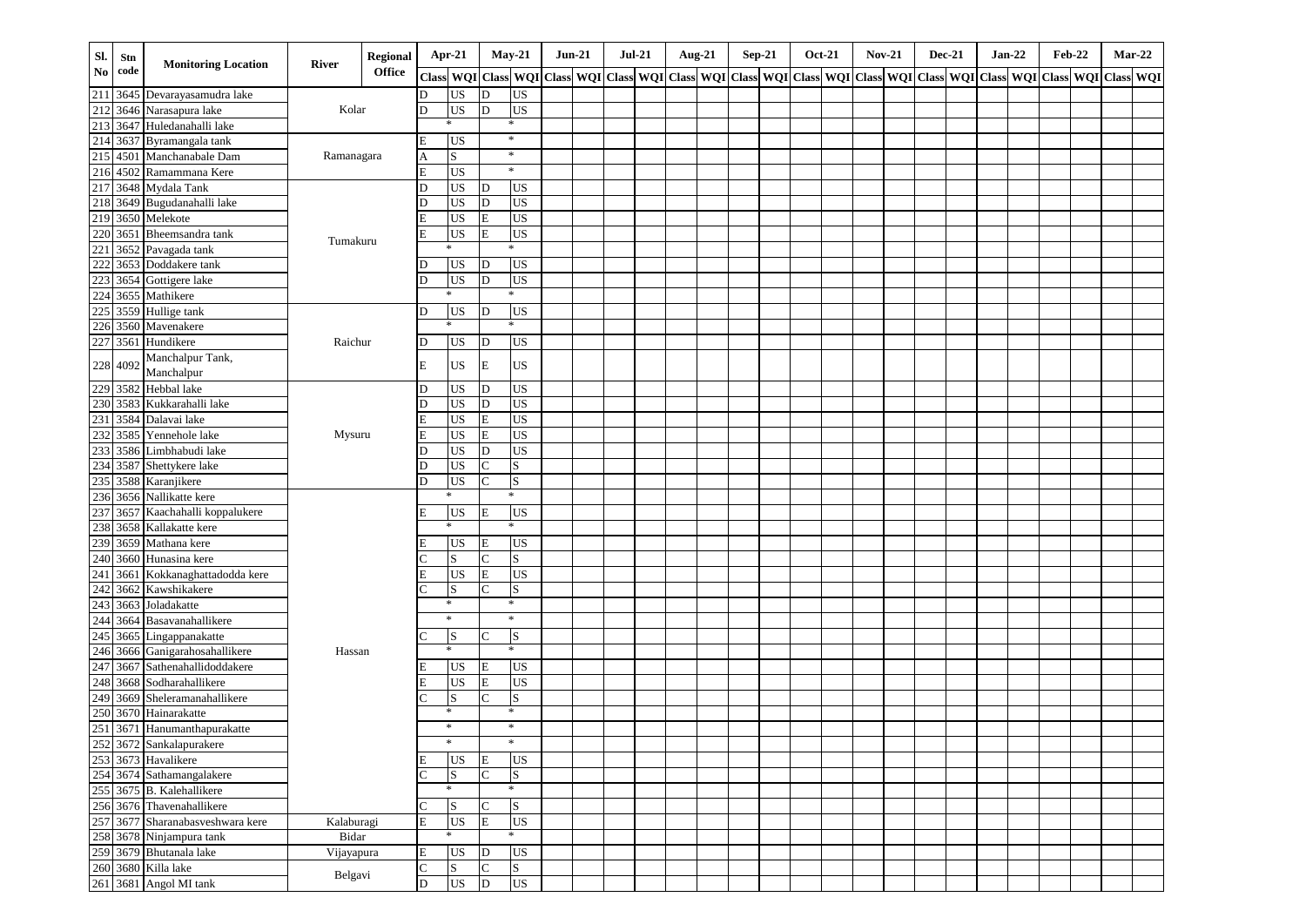| SI.        | Stn      |                                  |            | <b>Regional</b> |              | Apr-21                 | $May-21$          |                 | $Jun-21$ | <b>Jul-21</b> | <b>Aug-21</b>                                                                                   | <b>Sep-21</b> |  | <b>Oct-21</b> | <b>Nov-21</b> | <b>Dec-21</b> | $Jan-22$ |  | <b>Feb-22</b> |               | Mar-22 |
|------------|----------|----------------------------------|------------|-----------------|--------------|------------------------|-------------------|-----------------|----------|---------------|-------------------------------------------------------------------------------------------------|---------------|--|---------------|---------------|---------------|----------|--|---------------|---------------|--------|
| No         | code     | <b>Monitoring Location</b>       | River      | <b>Office</b>   | <b>Class</b> |                        | WQI Class WQI     |                 |          |               | Class WQI Class WQI Class WQI Class WQI Class WQI Class WQI Class WQI Class WQI Class WQI Class |               |  |               |               |               |          |  |               | WQI Class WQI |        |
| 211        |          | 3645 Devarayasamudra lake        |            |                 | D            | <b>US</b>              | D                 | US              |          |               |                                                                                                 |               |  |               |               |               |          |  |               |               |        |
| 212        |          | 3646 Narasapura lake             | Kolar      |                 | D            | <b>US</b>              | D                 | $_{\rm US}$     |          |               |                                                                                                 |               |  |               |               |               |          |  |               |               |        |
| 213        |          | 3647 Huledanahalli lake          |            |                 |              | $\ast$                 |                   | *               |          |               |                                                                                                 |               |  |               |               |               |          |  |               |               |        |
| 214        | 3637     | Byramangala tank                 |            |                 | E            | <b>US</b>              | $\ast$            |                 |          |               |                                                                                                 |               |  |               |               |               |          |  |               |               |        |
| 215        |          | 4501 Manchanabale Dam            | Ramanagara |                 | Α            | S                      | $\ast$            |                 |          |               |                                                                                                 |               |  |               |               |               |          |  |               |               |        |
|            |          | 216 4502 Ramammana Kere          |            |                 | E            | <b>US</b>              |                   | $\ast$          |          |               |                                                                                                 |               |  |               |               |               |          |  |               |               |        |
| 217        |          | 3648 Mydala Tank                 |            |                 | D            | <b>US</b>              | D                 | <b>US</b>       |          |               |                                                                                                 |               |  |               |               |               |          |  |               |               |        |
| 218        | 3649     | Bugudanahalli lake               |            |                 | D            | <b>US</b>              | D                 | US              |          |               |                                                                                                 |               |  |               |               |               |          |  |               |               |        |
|            |          | 219 3650 Melekote                |            |                 | E            | <b>US</b>              | $\mathbf E$       | $_{\rm US}$     |          |               |                                                                                                 |               |  |               |               |               |          |  |               |               |        |
| 220        | 3651     | Bheemsandra tank                 | Tumakuru   |                 | E            | <b>US</b>              | E                 | $_{\rm US}$     |          |               |                                                                                                 |               |  |               |               |               |          |  |               |               |        |
| 221        |          | 3652 Pavagada tank               |            |                 |              | $\ast$                 |                   | *               |          |               |                                                                                                 |               |  |               |               |               |          |  |               |               |        |
| 222        |          | 3653 Doddakere tank              |            |                 | D            | <b>US</b>              | D                 | <b>US</b>       |          |               |                                                                                                 |               |  |               |               |               |          |  |               |               |        |
| 223        |          | 3654 Gottigere lake              |            |                 | D            | <b>US</b>              | D                 | <b>US</b>       |          |               |                                                                                                 |               |  |               |               |               |          |  |               |               |        |
| 224        | 3655     | Mathikere                        |            |                 |              | $\ast$                 |                   | $\ast$          |          |               |                                                                                                 |               |  |               |               |               |          |  |               |               |        |
| 225        |          | 3559 Hullige tank                |            |                 | D            | <b>US</b>              | D                 | <b>US</b>       |          |               |                                                                                                 |               |  |               |               |               |          |  |               |               |        |
| 226        |          | 3560 Mavenakere                  |            |                 |              | $\ast$                 |                   | $\ast$          |          |               |                                                                                                 |               |  |               |               |               |          |  |               |               |        |
| 227        | 3561     | Hundikere                        | Raichur    |                 | D            | <b>US</b>              | D                 | <b>US</b>       |          |               |                                                                                                 |               |  |               |               |               |          |  |               |               |        |
|            | 228 4092 | Manchalpur Tank,                 |            |                 | E            | <b>US</b>              | $\mathbf E$       | <b>US</b>       |          |               |                                                                                                 |               |  |               |               |               |          |  |               |               |        |
|            |          | Manchalpur                       |            |                 |              |                        |                   |                 |          |               |                                                                                                 |               |  |               |               |               |          |  |               |               |        |
| 229        | 3582     | Hebbal lake                      |            |                 | D            | US                     | D                 | US              |          |               |                                                                                                 |               |  |               |               |               |          |  |               |               |        |
| 230        | 3583     | Kukkarahalli lake                |            |                 | D            | <b>US</b>              | D                 | US              |          |               |                                                                                                 |               |  |               |               |               |          |  |               |               |        |
| 231        | 3584     | Dalavai lake                     |            |                 | E            | <b>US</b>              | E                 | US              |          |               |                                                                                                 |               |  |               |               |               |          |  |               |               |        |
| 232        | 3585     | Yennehole lake                   | Mysuru     |                 | $\mathbf E$  | <b>US</b>              | E                 | US<br><b>US</b> |          |               |                                                                                                 |               |  |               |               |               |          |  |               |               |        |
| 233<br>234 | 3587     | 3586 Limbhabudi lake             |            |                 | D<br>D       | <b>US</b><br><b>US</b> | D<br>$\mathsf{C}$ | S               |          |               |                                                                                                 |               |  |               |               |               |          |  |               |               |        |
| 235        | 3588     | Shettykere lake<br>Karaniikere   |            |                 | D            | <b>US</b>              | $\mathcal{C}$     | S               |          |               |                                                                                                 |               |  |               |               |               |          |  |               |               |        |
| 236        |          | 3656 Nallikatte kere             |            |                 |              |                        | $\ast$            |                 |          |               |                                                                                                 |               |  |               |               |               |          |  |               |               |        |
| 237        |          | 3657 Kaachahalli koppalukere     |            |                 | E            | <b>US</b>              | E                 | <b>US</b>       |          |               |                                                                                                 |               |  |               |               |               |          |  |               |               |        |
| 238        | 3658     | Kallakatte kere                  |            |                 |              | $\ast$                 |                   | $\ast$          |          |               |                                                                                                 |               |  |               |               |               |          |  |               |               |        |
| 239        |          | 3659 Mathana kere                |            |                 |              | <b>US</b>              | E                 | <b>US</b>       |          |               |                                                                                                 |               |  |               |               |               |          |  |               |               |        |
| 240        | 3660     | Hunasina kere                    |            |                 |              | <sub>S</sub>           | $\mathcal{C}$     | S               |          |               |                                                                                                 |               |  |               |               |               |          |  |               |               |        |
| 241        | 3661     | Kokkanaghattadodda kere          |            |                 | E            | <b>US</b>              | E                 | <b>US</b>       |          |               |                                                                                                 |               |  |               |               |               |          |  |               |               |        |
| 242        |          | 3662 Kawshikakere                |            |                 |              | <b>S</b>               | $\mathcal{C}$     | S               |          |               |                                                                                                 |               |  |               |               |               |          |  |               |               |        |
| 243        | 3663     | Joladakatte                      |            |                 |              | $\ast$                 |                   | *               |          |               |                                                                                                 |               |  |               |               |               |          |  |               |               |        |
| 244        |          | 3664 Basavanahallikere           |            |                 |              | $\ast$                 | $\ast$            |                 |          |               |                                                                                                 |               |  |               |               |               |          |  |               |               |        |
| 245        |          | 3665 Lingappanakatte             |            |                 |              | S                      |                   | S               |          |               |                                                                                                 |               |  |               |               |               |          |  |               |               |        |
| 246        |          | 3666 Ganigarahosahallikere       | Hassan     |                 |              | $\ast$                 |                   | *               |          |               |                                                                                                 |               |  |               |               |               |          |  |               |               |        |
| 247        | 3667     | Sathenahallidoddakere            |            |                 | E            | <b>US</b>              | E                 | <b>US</b>       |          |               |                                                                                                 |               |  |               |               |               |          |  |               |               |        |
| 248        |          | 3668 Sodharahallikere            |            |                 |              | <b>US</b>              | E                 | US              |          |               |                                                                                                 |               |  |               |               |               |          |  |               |               |        |
| 249        |          | 3669 Sheleramanahallikere        |            |                 |              | S                      | $\mathcal{C}$     | S               |          |               |                                                                                                 |               |  |               |               |               |          |  |               |               |        |
| 250        |          | 3670 Hainarakatte                |            |                 |              | $\ast$                 |                   | $\ast$          |          |               |                                                                                                 |               |  |               |               |               |          |  |               |               |        |
| 251        |          | 3671 Hanumanthapurakatte         |            |                 |              | $\ast$                 |                   | $\ast$          |          |               |                                                                                                 |               |  |               |               |               |          |  |               |               |        |
|            |          | 252 3672 Sankalapurakere         |            |                 |              | $\ast$                 |                   | *               |          |               |                                                                                                 |               |  |               |               |               |          |  |               |               |        |
|            |          | 253 3673 Havalikere              |            |                 | E            | <b>US</b>              | E                 | <b>US</b>       |          |               |                                                                                                 |               |  |               |               |               |          |  |               |               |        |
|            |          | 254 3674 Sathamangalakere        |            |                 |              | S                      | $\mathcal{C}$     | S               |          |               |                                                                                                 |               |  |               |               |               |          |  |               |               |        |
|            |          | 255 3675 B. Kalehallikere        |            |                 |              | $\ast$                 |                   | *               |          |               |                                                                                                 |               |  |               |               |               |          |  |               |               |        |
|            |          | 256 3676 Thavenahallikere        |            |                 | C            | S                      | C                 | S               |          |               |                                                                                                 |               |  |               |               |               |          |  |               |               |        |
|            |          | 257 3677 Sharanabasveshwara kere | Kalaburagi |                 | E            | <b>US</b>              | E                 | <b>US</b>       |          |               |                                                                                                 |               |  |               |               |               |          |  |               |               |        |
|            |          | 258 3678 Ninjampura tank         | Bidar      |                 |              | ∗                      |                   | $\ast$          |          |               |                                                                                                 |               |  |               |               |               |          |  |               |               |        |
|            |          | 259 3679 Bhutanala lake          | Vijayapura |                 | $\mathbf E$  | US                     | D                 | $_{\rm US}$     |          |               |                                                                                                 |               |  |               |               |               |          |  |               |               |        |
|            |          | 260 3680 Killa lake              | Belgavi    |                 | Ċ            | S                      | C                 | S               |          |               |                                                                                                 |               |  |               |               |               |          |  |               |               |        |
|            |          | 261 3681 Angol MI tank           |            |                 | D            | $_{\rm US}$            | D                 | US              |          |               |                                                                                                 |               |  |               |               |               |          |  |               |               |        |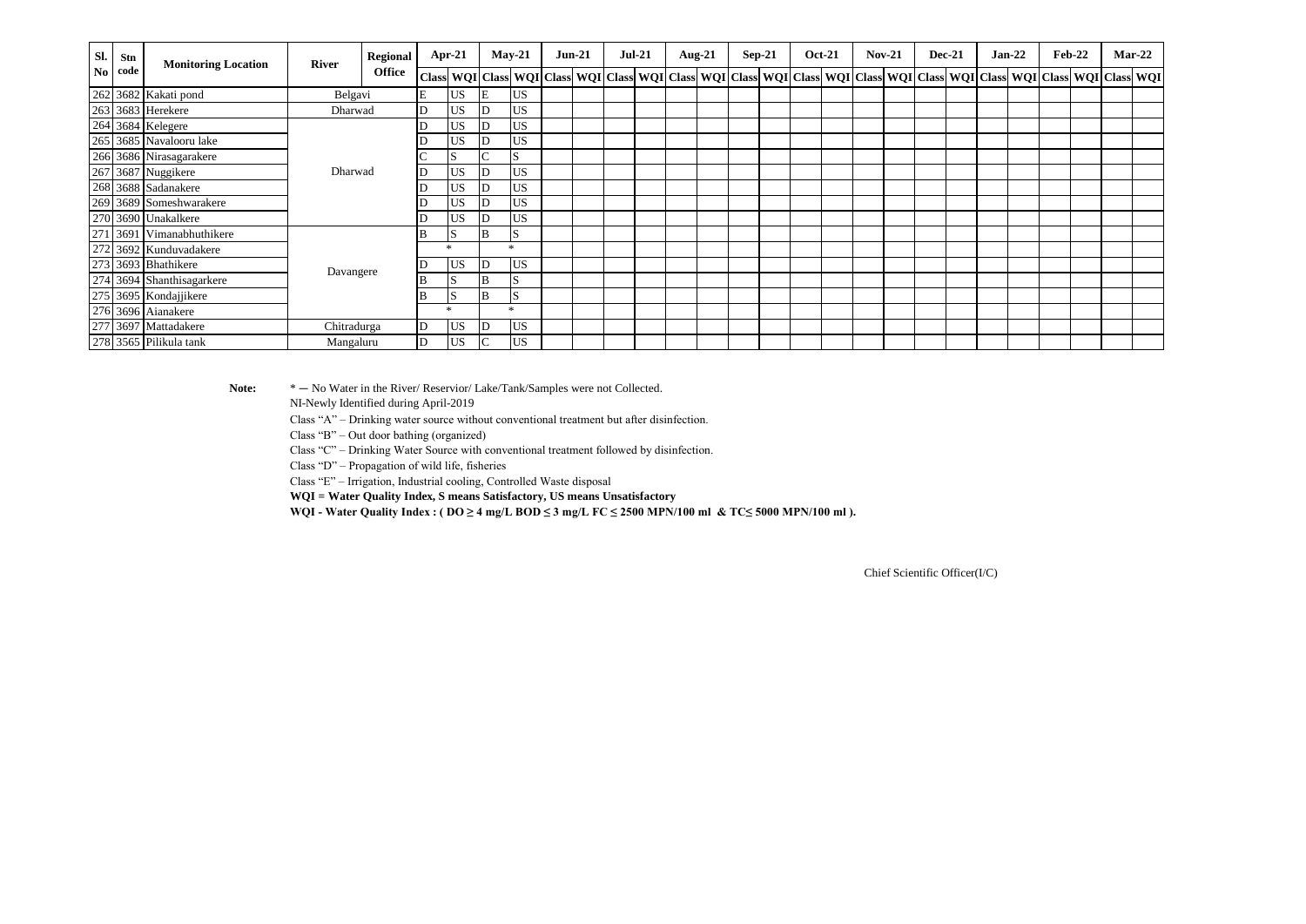| SI.  | Stn  | <b>Monitoring Location</b> | <b>River</b> | Regional      |    | $Apr-21$     |        | $Mav-21$  | $Jun-21$ | $Jul-21$ |  | Aug-21 | $Sep-21$ | <b>Oct-21</b> | $Nov-21$ |  | <b>Dec-21</b> | $Jan-22$ | $Feb-22$ | $Mar-22$                                                                                                                                                                                                                      |
|------|------|----------------------------|--------------|---------------|----|--------------|--------|-----------|----------|----------|--|--------|----------|---------------|----------|--|---------------|----------|----------|-------------------------------------------------------------------------------------------------------------------------------------------------------------------------------------------------------------------------------|
| No l | code |                            |              | <b>Office</b> |    |              |        |           |          |          |  |        |          |               |          |  |               |          |          | Class   WQI   Class   WQI   Class   WQI   Class   WQI   Class   WQI   Class   WQI   Class   WQI   Class   WQI   Class   WQI   Class   WQI   Class   WQI   Class   WQI   Class   WQI   Class   WQI   Class   WQI   Class   WQI |
|      |      | 262 3682 Kakati pond       | Belgavi      |               | E  | US.          | E      | <b>US</b> |          |          |  |        |          |               |          |  |               |          |          |                                                                                                                                                                                                                               |
|      |      | 263 3683 Herekere          | Dharwad      |               | ID | <b>US</b>    |        | <b>US</b> |          |          |  |        |          |               |          |  |               |          |          |                                                                                                                                                                                                                               |
|      |      | 264 3684 Kelegere          |              |               |    | <b>US</b>    |        | <b>US</b> |          |          |  |        |          |               |          |  |               |          |          |                                                                                                                                                                                                                               |
|      |      | 265 3685 Navalooru lake    |              |               |    | <b>US</b>    |        | US        |          |          |  |        |          |               |          |  |               |          |          |                                                                                                                                                                                                                               |
|      |      | 266 3686 Nirasagarakere    |              |               |    | S            | $\sim$ | ID.       |          |          |  |        |          |               |          |  |               |          |          |                                                                                                                                                                                                                               |
|      |      | 267 3687 Nuggikere         | Dharwad      |               | ID | <b>US</b>    |        | <b>US</b> |          |          |  |        |          |               |          |  |               |          |          |                                                                                                                                                                                                                               |
|      |      | 268 3688 Sadanakere        |              |               |    | US           |        | US        |          |          |  |        |          |               |          |  |               |          |          |                                                                                                                                                                                                                               |
|      |      | 269 3689 Someshwarakere    |              |               |    | <b>US</b>    |        | <b>US</b> |          |          |  |        |          |               |          |  |               |          |          |                                                                                                                                                                                                                               |
|      |      | 270 3690 Unakalkere        |              |               |    | <b>US</b>    |        | US        |          |          |  |        |          |               |          |  |               |          |          |                                                                                                                                                                                                                               |
| 271  |      | 1 3691 Vimanabhuthikere    |              |               |    | S            | B      |           |          |          |  |        |          |               |          |  |               |          |          |                                                                                                                                                                                                                               |
|      |      | 272 3692 Kunduvadakere     |              |               |    | <b>sk</b>    |        | $\ast$    |          |          |  |        |          |               |          |  |               |          |          |                                                                                                                                                                                                                               |
|      |      | 273 3693 Bhathikere        |              |               | ID | <b>US</b>    |        | <b>US</b> |          |          |  |        |          |               |          |  |               |          |          |                                                                                                                                                                                                                               |
|      |      | 274 3694 Shanthisagarkere  | Davangere    |               |    | S            | B      | S         |          |          |  |        |          |               |          |  |               |          |          |                                                                                                                                                                                                                               |
|      |      | 275 3695 Kondajjikere      |              |               |    | <sup>S</sup> | IВ     | ıэ        |          |          |  |        |          |               |          |  |               |          |          |                                                                                                                                                                                                                               |
|      |      | 276 3696 Aianakere         |              |               |    |              |        | ÷         |          |          |  |        |          |               |          |  |               |          |          |                                                                                                                                                                                                                               |
|      |      | 277 3697 Mattadakere       | Chitradurga  |               | ID | <b>US</b>    |        | <b>US</b> |          |          |  |        |          |               |          |  |               |          |          |                                                                                                                                                                                                                               |
|      |      | 278 3565 Pilikula tank     | Mangaluru    |               | ID | US           |        | US        |          |          |  |        |          |               |          |  |               |          |          |                                                                                                                                                                                                                               |

 **Note:** \* — No Water in the River/ Reservior/ Lake/Tank/Samples were not Collected.

NI-Newly Identified during April-2019

Class "A" – Drinking water source without conventional treatment but after disinfection.

Class "B" – Out door bathing (organized)

Class "C" – Drinking Water Source with conventional treatment followed by disinfection.

Class "D" – Propagation of wild life, fisheries

Class "E" – Irrigation, Industrial cooling, Controlled Waste disposal

**WQI = Water Quality Index, S means Satisfactory, US means Unsatisfactory**

WQI - Water Quality Index : ( $DO \geq 4$  mg/L BOD  $\leq 3$  mg/L FC  $\leq$  2500 MPN/100 ml & TC $\leq$  5000 MPN/100 ml).

Chief Scientific Officer(I/C)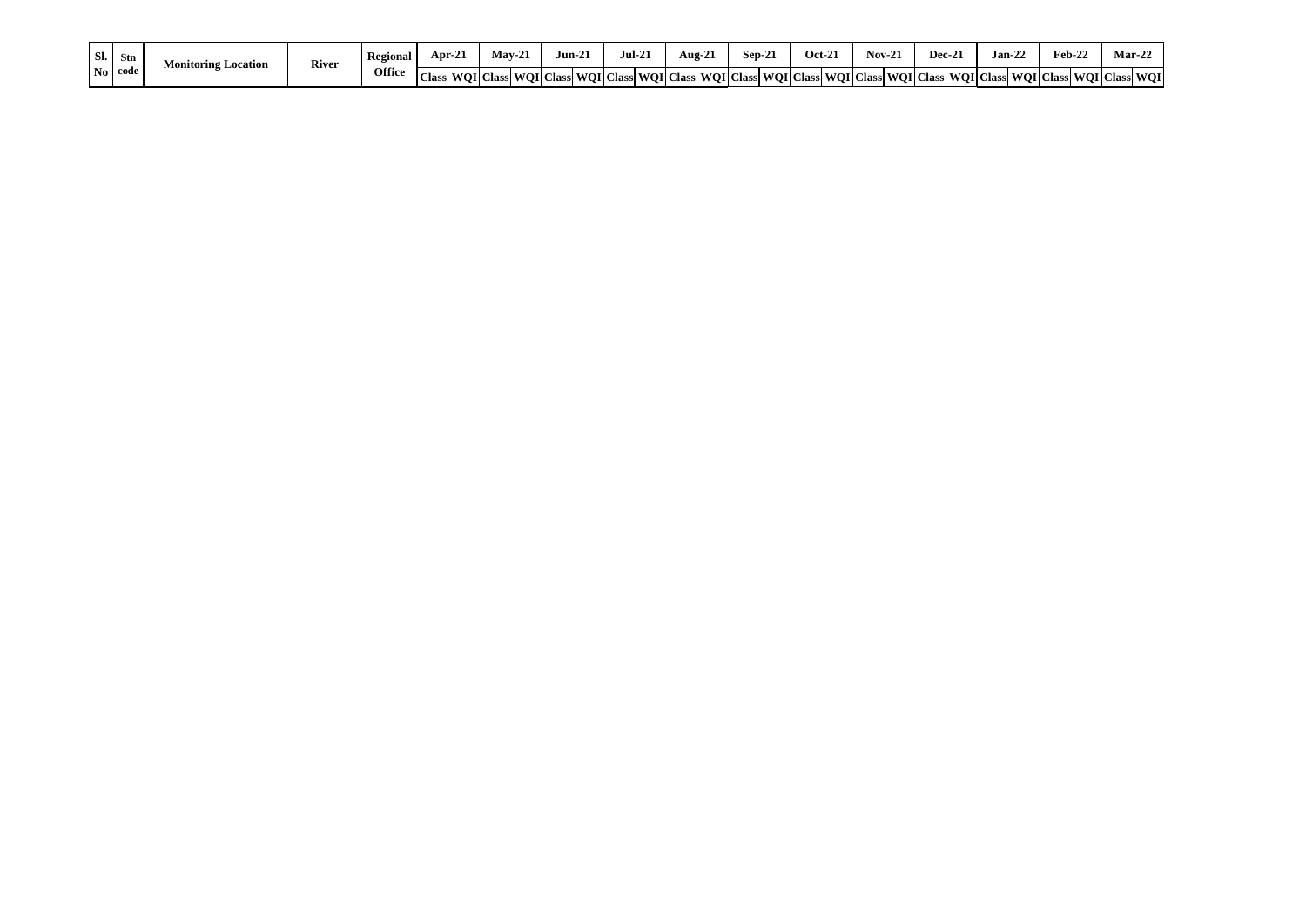| $\vert$ Sl. $\vert$ | Stn                     | Monitoring Location | River | Regional | Apr-2. | $Mav-21$                                                                                                                                | Jun-2 | $\mathbf{1}$<br>Jul-21 | --<br>Aug-21 | $Sep-2$ | $Oct-2$ | $\sqrt{N}$ | Dec-2<br>$^{\sim}$ | $\sim$<br>Jan-22 | $Feb-22$ | $Mar-2.$        |
|---------------------|-------------------------|---------------------|-------|----------|--------|-----------------------------------------------------------------------------------------------------------------------------------------|-------|------------------------|--------------|---------|---------|------------|--------------------|------------------|----------|-----------------|
|                     | $\vert$ No $\vert$ code |                     |       | Office   |        | Class  WOI   Class  WOI   Class  WOI   Class  WOI   Class  WOI   Class  WOI   Class  WOI   Class  WOI   Class  WOI   Class  WOI   Class |       |                        |              |         |         |            |                    |                  |          | s WOI Class WOI |